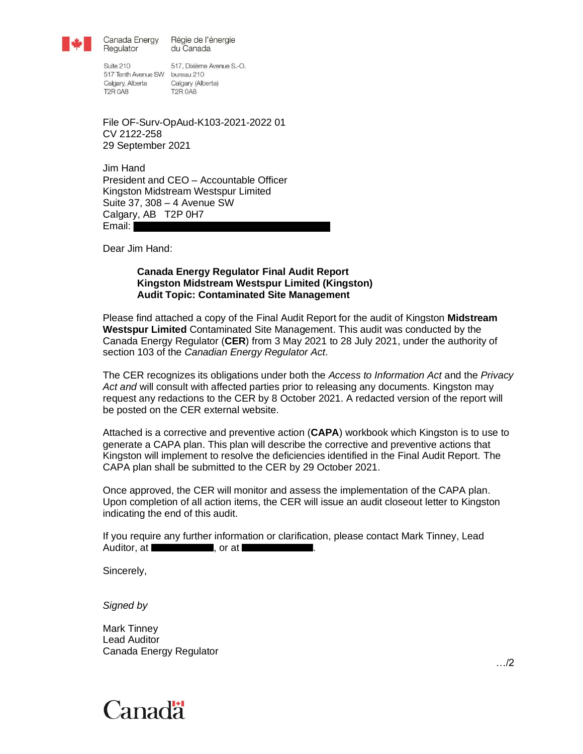

Canada Energy Régie de l'énergie du Canada

Suite 210 517 Tenth Avenue SW bureau 210 Calgary, Alberta Calgary (Alberta) **T2R 0A8** 

Regulator

517, Dixième Avenue S.-O. **T2R 0A8** 

File OF-Surv-OpAud-K103-2021-2022 01 CV 2122-258 29 September 2021

Jim Hand President and CEO – Accountable Officer Kingston Midstream Westspur Limited Suite 37, 308 – 4 Avenue SW Calgary, AB T2P 0H7 Email:

Dear Jim Hand:

#### <span id="page-0-1"></span>**Canada Energy Regulator Final Audit Report Kingston Midstream Westspur Limited (Kingston) Audit Topic: Contaminated Site Management**

<span id="page-0-0"></span>Please find attached a copy of the Final Audit Report for the audit of Kingston **[Midstream](#page-0-0)  [Westspur Limited](#page-0-0)** [Contaminated Site Management.](#page-0-1) This audit was conducted by the Canada Energy Regulator (**CER**) from 3 May 2021 to 28 July 2021, under the authority of section 103 of the *Canadian Energy Regulator Act*.

The CER recognizes its obligations under both the *Access to Information Act* and the *Privacy Act and* will consult with affected parties prior to releasing any documents. Kingston may request any redactions to the CER by 8 October 2021. A redacted version of the report will be posted on the CER external website.

Attached is a corrective and preventive action (**CAPA**) workbook which Kingston is to use to generate a CAPA plan. This plan will describe the corrective and preventive actions that Kingston will implement to resolve the deficiencies identified in the Final Audit Report. The CAPA plan shall be submitted to the CER by 29 October 2021.

Once approved, the CER will monitor and assess the implementation of the CAPA plan. Upon completion of all action items, the CER will issue an audit closeout letter to Kingston indicating the end of this audit.

If you require any further information or clarification, please contact Mark Tinney, Lead Auditor, at **Auditor**, at  $\blacksquare$ , or at  $\blacksquare$ 

Sincerely,

*Signed by*

[Mark Tinney](#page-0-2) Lead Auditor Canada Energy Regulator

<span id="page-0-2"></span>

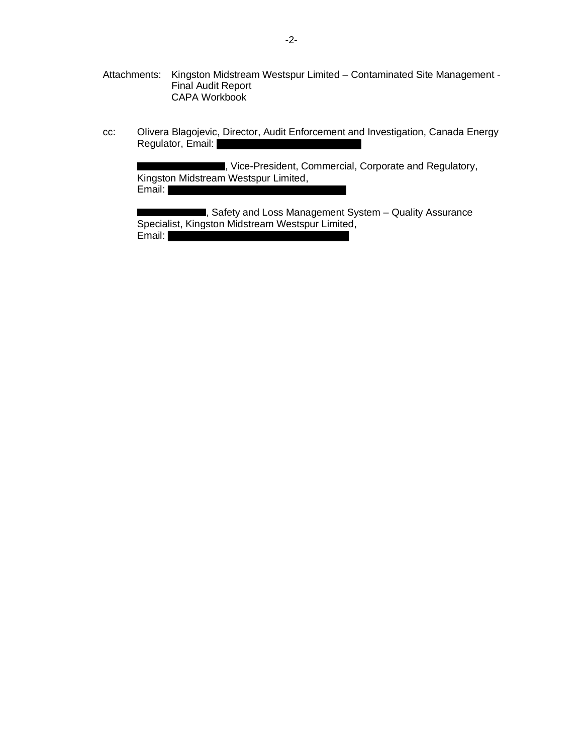- Attachments: Kingston Midstream Westspur Limited Contaminated Site Management Final Audit Report CAPA Workbook
- cc: Olivera Blagojevic, Director, Audit Enforcement and Investigation, Canada Energy Regulator, Email:

**The**, Vice-President, Commercial, Corporate and Regulatory, Kingston Midstream Westspur Limited, Email:

**Example 25 Safety and Loss Management System – Quality Assurance** Specialist, Kingston Midstream Westspur Limited, Email: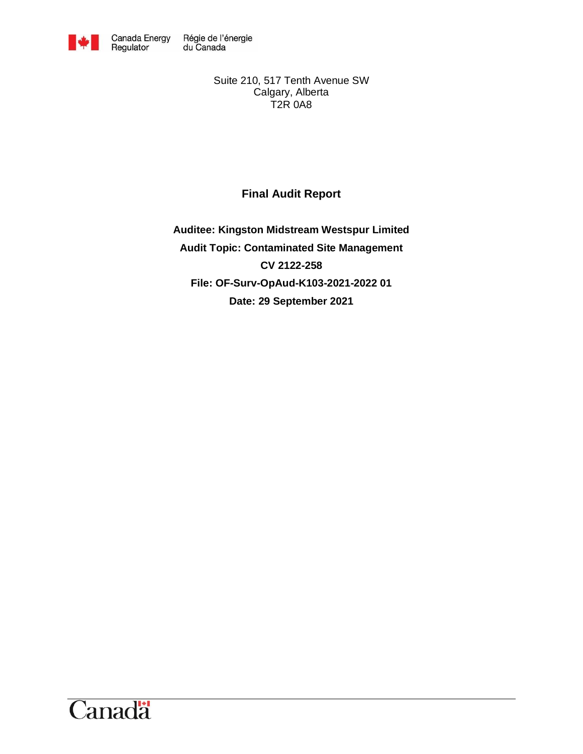

Suite 210, 517 Tenth Avenue SW Calgary, Alberta T2R 0A8

<span id="page-2-0"></span>**Final Audit Report**

**Auditee: Kingston Midstream Westspur Limited Audit Topic: Contaminated Site Management CV 2122-258 File: OF-Surv-OpAud-K103-2021-2022 01 Date: 29 September 2021**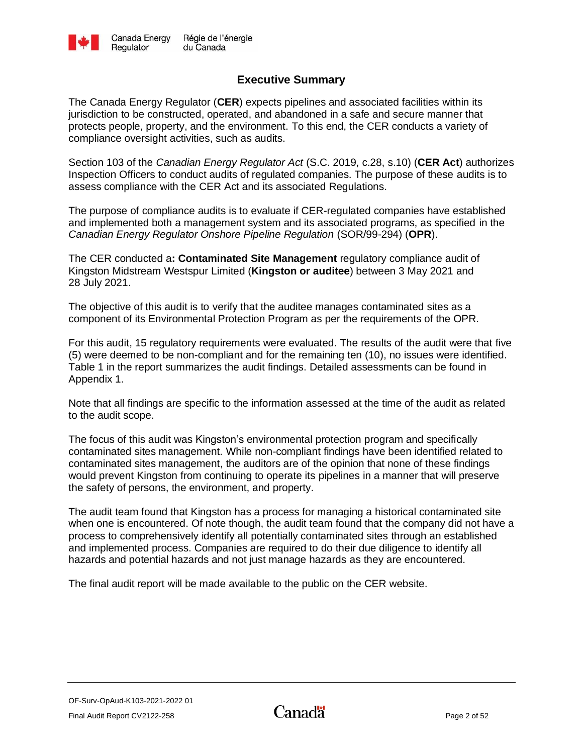

## **Executive Summary**

<span id="page-3-0"></span>The Canada Energy Regulator (**CER**) expects pipelines and associated facilities within its jurisdiction to be constructed, operated, and abandoned in a safe and secure manner that protects people, property, and the environment. To this end, the CER conducts a variety of compliance oversight activities, such as audits.

Section 103 of the *Canadian Energy Regulator Act* (S.C. 2019, c.28, s.10) (**CER Act**) authorizes Inspection Officers to conduct audits of regulated companies. The purpose of these audits is to assess compliance with the CER Act and its associated Regulations.

The purpose of compliance audits is to evaluate if CER-regulated companies have established and implemented both a management system and its associated programs, as specified in the *Canadian Energy Regulator Onshore Pipeline Regulation* (SOR/99-294) (**OPR**).

The CER conducted a**: [Contaminated Site Management](#page-2-0)** regulatory compliance audit of Kingston Midstream Westspur Limited (**Kingston or auditee**) between 3 May 2021 and 28 July 2021.

The objective of this audit is to verify that the auditee manages contaminated sites as a component of its Environmental Protection Program as per the requirements of the OPR.

For this audit, 15 regulatory requirements were evaluated. The results of the audit were that five (5) were deemed to be non-compliant and for the remaining ten (10), no issues were identified. Table 1 in the report summarizes the audit findings. Detailed assessments can be found in Appendix 1.

Note that all findings are specific to the information assessed at the time of the audit as related to the audit scope.

The focus of this audit was Kingston's environmental protection program and specifically contaminated sites management. While non-compliant findings have been identified related to contaminated sites management, the auditors are of the opinion that none of these findings would prevent Kingston from continuing to operate its pipelines in a manner that will preserve the safety of persons, the environment, and property.

The audit team found that Kingston has a process for managing a historical contaminated site when one is encountered. Of note though, the audit team found that the company did not have a process to comprehensively identify all potentially contaminated sites through an established and implemented process. Companies are required to do their due diligence to identify all hazards and potential hazards and not just manage hazards as they are encountered.

The final audit report will be made available to the public on the CER website.

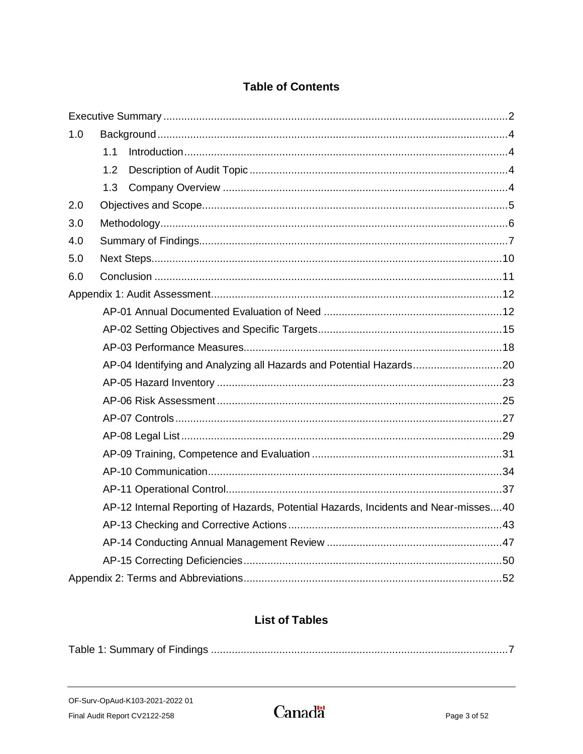# **Table of Contents**

| 1.0 |     |                                                                                     |  |  |
|-----|-----|-------------------------------------------------------------------------------------|--|--|
|     | 1.1 |                                                                                     |  |  |
|     | 1.2 |                                                                                     |  |  |
|     | 1.3 |                                                                                     |  |  |
| 2.0 |     |                                                                                     |  |  |
| 3.0 |     |                                                                                     |  |  |
| 4.0 |     |                                                                                     |  |  |
| 5.0 |     |                                                                                     |  |  |
| 6.0 |     |                                                                                     |  |  |
|     |     |                                                                                     |  |  |
|     |     |                                                                                     |  |  |
|     |     |                                                                                     |  |  |
|     |     |                                                                                     |  |  |
|     |     | AP-04 Identifying and Analyzing all Hazards and Potential Hazards20                 |  |  |
|     |     |                                                                                     |  |  |
|     |     |                                                                                     |  |  |
|     |     |                                                                                     |  |  |
|     |     |                                                                                     |  |  |
|     |     |                                                                                     |  |  |
|     |     |                                                                                     |  |  |
|     |     |                                                                                     |  |  |
|     |     | AP-12 Internal Reporting of Hazards, Potential Hazards, Incidents and Near-misses40 |  |  |
|     |     |                                                                                     |  |  |
|     |     |                                                                                     |  |  |
|     |     |                                                                                     |  |  |
|     |     |                                                                                     |  |  |

## **List of Tables**

|--|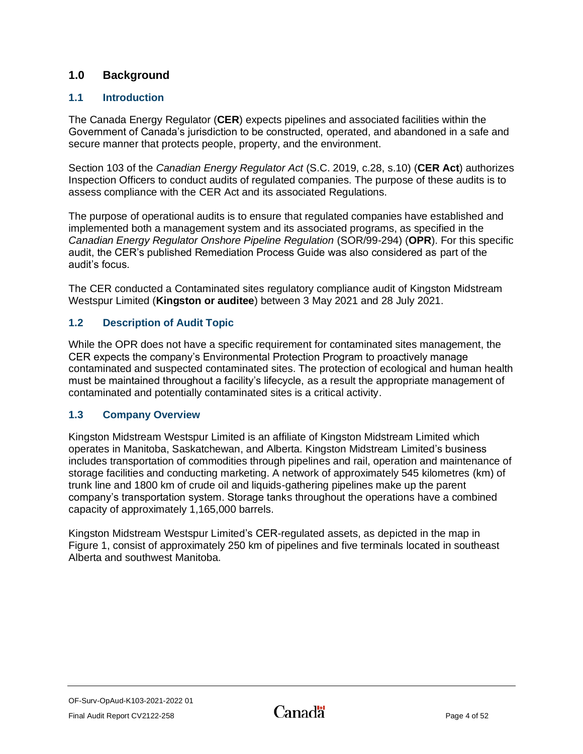## <span id="page-5-0"></span>**1.0 Background**

## <span id="page-5-1"></span>**1.1 Introduction**

The Canada Energy Regulator (**CER**) expects pipelines and associated facilities within the Government of Canada's jurisdiction to be constructed, operated, and abandoned in a safe and secure manner that protects people, property, and the environment.

Section 103 of the *Canadian Energy Regulator Act* (S.C. 2019, c.28, s.10) (**CER Act**) authorizes Inspection Officers to conduct audits of regulated companies. The purpose of these audits is to assess compliance with the CER Act and its associated Regulations.

The purpose of operational audits is to ensure that regulated companies have established and implemented both a management system and its associated programs, as specified in the *Canadian Energy Regulator Onshore Pipeline Regulation* (SOR/99-294) (**OPR**). For this specific audit, the CER's published Remediation Process Guide was also considered as part of the audit's focus.

The CER conducted a Contaminated sites regulatory compliance audit of Kingston Midstream Westspur Limited (**Kingston or auditee**) between 3 May 2021 and 28 July 2021.

## <span id="page-5-2"></span>**1.2 Description of Audit Topic**

While the OPR does not have a specific requirement for contaminated sites management, the CER expects the company's Environmental Protection Program to proactively manage contaminated and suspected contaminated sites. The protection of ecological and human health must be maintained throughout a facility's lifecycle, as a result the appropriate management of contaminated and potentially contaminated sites is a critical activity.

## <span id="page-5-3"></span>**1.3 Company Overview**

Kingston Midstream Westspur Limited is an affiliate of Kingston Midstream Limited which operates in Manitoba, Saskatchewan, and Alberta. Kingston Midstream Limited's business includes transportation of commodities through pipelines and rail, operation and maintenance of storage facilities and conducting marketing. A network of approximately 545 kilometres (km) of trunk line and 1800 km of crude oil and liquids-gathering pipelines make up the parent company's transportation system. Storage tanks throughout the operations have a combined capacity of approximately 1,165,000 barrels.

Kingston Midstream Westspur Limited's CER-regulated assets, as depicted in the map in Figure 1, consist of approximately 250 km of pipelines and five terminals located in southeast Alberta and southwest Manitoba.

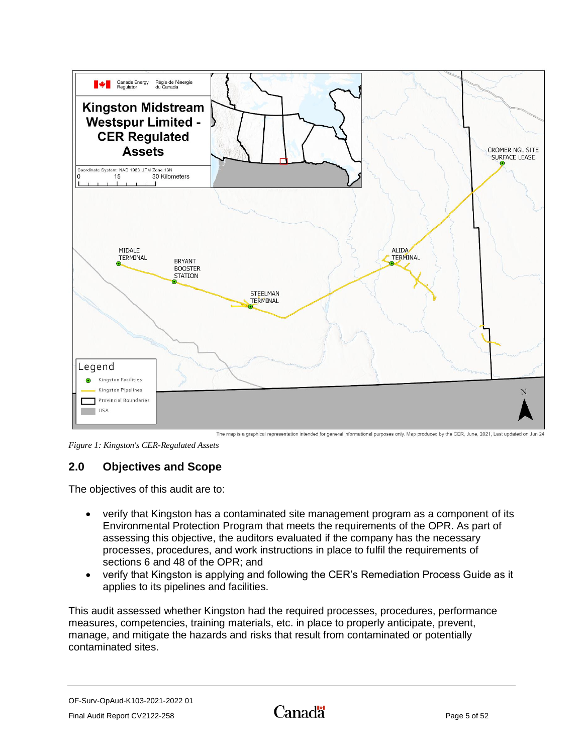

The map is a graphical representation intended for general informational purposes only. Map produced by the CER, June, 2021, Last updated on Jun 24

*Figure 1: Kingston's CER-Regulated Assets*

## <span id="page-6-0"></span>**2.0 Objectives and Scope**

The objectives of this audit are to:

- verify that Kingston has a contaminated site management program as a component of its Environmental Protection Program that meets the requirements of the OPR. As part of assessing this objective, the auditors evaluated if the company has the necessary processes, procedures, and work instructions in place to fulfil the requirements of sections 6 and 48 of the OPR; and
- verify that Kingston is applying and following the CER's Remediation Process Guide as it applies to its pipelines and facilities.

This audit assessed whether Kingston had the required processes, procedures, performance measures, competencies, training materials, etc. in place to properly anticipate, prevent, manage, and mitigate the hazards and risks that result from contaminated or potentially contaminated sites.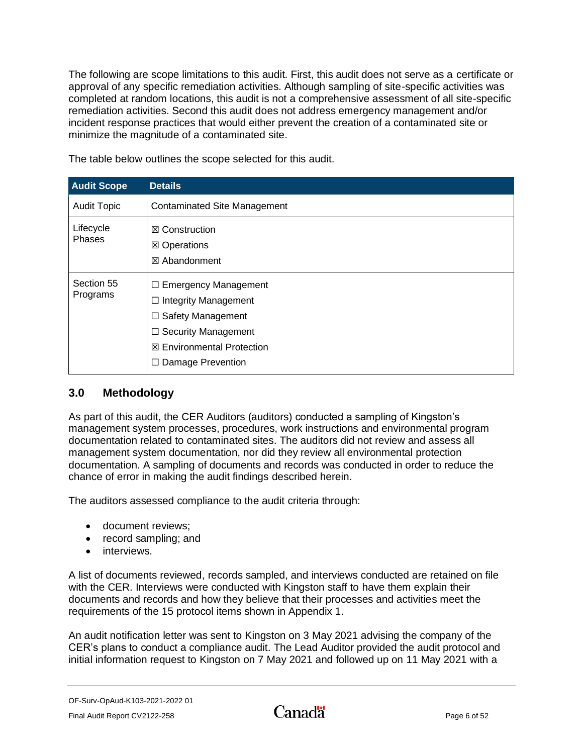The following are scope limitations to this audit. First, this audit does not serve as a certificate or approval of any specific remediation activities. Although sampling of site-specific activities was completed at random locations, this audit is not a comprehensive assessment of all site-specific remediation activities. Second this audit does not address emergency management and/or incident response practices that would either prevent the creation of a contaminated site or minimize the magnitude of a contaminated site.

| <b>Audit Scope</b>     | <b>Details</b>                                                                                                                                                                      |
|------------------------|-------------------------------------------------------------------------------------------------------------------------------------------------------------------------------------|
| <b>Audit Topic</b>     | <b>Contaminated Site Management</b>                                                                                                                                                 |
| Lifecycle<br>Phases    | $\boxtimes$ Construction<br>⊠ Operations<br>⊠ Abandonment                                                                                                                           |
| Section 55<br>Programs | $\Box$ Emergency Management<br>$\Box$ Integrity Management<br>$\Box$ Safety Management<br>$\Box$ Security Management<br><b>⊠ Environmental Protection</b><br>Damage Prevention<br>□ |

The table below outlines the scope selected for this audit.

## <span id="page-7-0"></span>**3.0 Methodology**

As part of this audit, the CER Auditors (auditors) conducted a sampling of Kingston's management system processes, procedures, work instructions and environmental program documentation related to contaminated sites. The auditors did not review and assess all management system documentation, nor did they review all environmental protection documentation. A sampling of documents and records was conducted in order to reduce the chance of error in making the audit findings described herein.

The auditors assessed compliance to the audit criteria through:

- document reviews;
- record sampling; and
- interviews.

A list of documents reviewed, records sampled, and interviews conducted are retained on file with the CER. Interviews were conducted with Kingston staff to have them explain their documents and records and how they believe that their processes and activities meet the requirements of the 15 protocol items shown in Appendix 1.

An audit notification letter was sent to Kingston on 3 May 2021 advising the company of the CER's plans to conduct a compliance audit. The Lead Auditor provided the audit protocol and initial information request to Kingston on 7 May 2021 and followed up on 11 May 2021 with a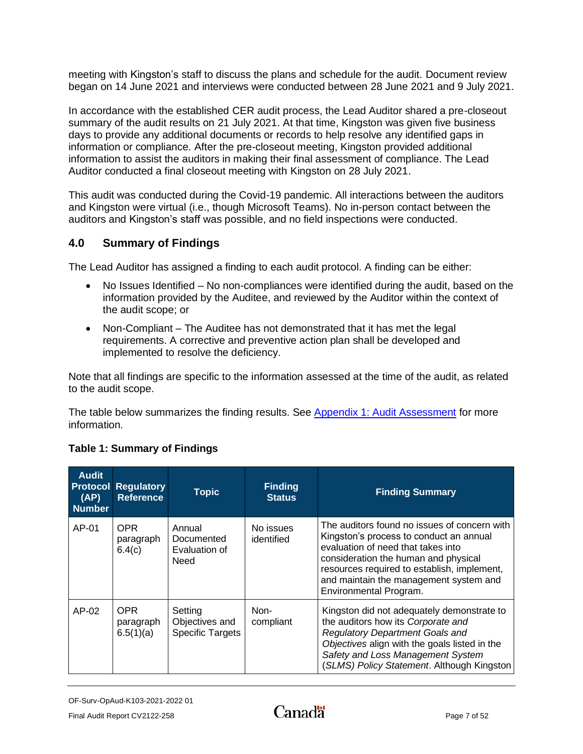meeting with Kingston's staff to discuss the plans and schedule for the audit. Document review began on 14 June 2021 and interviews were conducted between 28 June 2021 and 9 July 2021.

In accordance with the established CER audit process, the Lead Auditor shared a pre-closeout summary of the audit results on 21 July 2021. At that time, Kingston was given five business days to provide any additional documents or records to help resolve any identified gaps in information or compliance. After the pre-closeout meeting, Kingston provided additional information to assist the auditors in making their final assessment of compliance. The Lead Auditor conducted a final closeout meeting with Kingston on 28 July 2021.

This audit was conducted during the Covid-19 pandemic. All interactions between the auditors and Kingston were virtual (i.e., though Microsoft Teams). No in-person contact between the auditors and Kingston's staff was possible, and no field inspections were conducted.

## <span id="page-8-0"></span>**4.0 Summary of Findings**

The Lead Auditor has assigned a finding to each audit protocol. A finding can be either:

- No Issues Identified No non-compliances were identified during the audit, based on the information provided by the Auditee, and reviewed by the Auditor within the context of the audit scope; or
- Non-Compliant The Auditee has not demonstrated that it has met the legal requirements. A corrective and preventive action plan shall be developed and implemented to resolve the deficiency.

Note that all findings are specific to the information assessed at the time of the audit, as related to the audit scope.

The table below summarizes the finding results. See [Appendix 1: Audit Assessment](#page-13-0) for more information.

| <b>Audit</b><br>(AP)<br><b>Number</b> | <b>Protocol Regulatory</b><br><b>Reference</b> | <b>Topic</b>                                         | <b>Finding</b><br><b>Status</b> | <b>Finding Summary</b>                                                                                                                                                                                                                                                                   |
|---------------------------------------|------------------------------------------------|------------------------------------------------------|---------------------------------|------------------------------------------------------------------------------------------------------------------------------------------------------------------------------------------------------------------------------------------------------------------------------------------|
| $AP-01$                               | <b>OPR</b><br>paragraph<br>6.4(c)              | Annual<br>Documented<br>Evaluation of<br>Need        | No issues<br>identified         | The auditors found no issues of concern with<br>Kingston's process to conduct an annual<br>evaluation of need that takes into<br>consideration the human and physical<br>resources required to establish, implement,<br>and maintain the management system and<br>Environmental Program. |
| $AP-02$                               | <b>OPR</b><br>paragraph<br>6.5(1)(a)           | Setting<br>Objectives and<br><b>Specific Targets</b> | Non-<br>compliant               | Kingston did not adequately demonstrate to<br>the auditors how its Corporate and<br><b>Regulatory Department Goals and</b><br>Objectives align with the goals listed in the<br>Safety and Loss Management System<br>(SLMS) Policy Statement. Although Kingston                           |

## <span id="page-8-1"></span>**Table 1: Summary of Findings**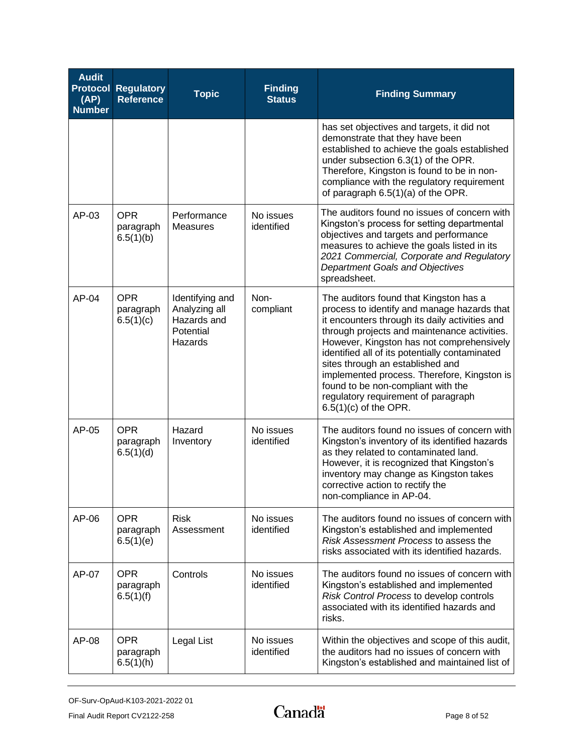| <b>Audit</b><br>(AP)<br><b>Number</b> | <b>Protocol Regulatory</b><br><b>Reference</b> | <b>Topic</b>                                                            | <b>Finding</b><br><b>Status</b> | <b>Finding Summary</b>                                                                                                                                                                                                                                                                                                                                                                                                                                                            |
|---------------------------------------|------------------------------------------------|-------------------------------------------------------------------------|---------------------------------|-----------------------------------------------------------------------------------------------------------------------------------------------------------------------------------------------------------------------------------------------------------------------------------------------------------------------------------------------------------------------------------------------------------------------------------------------------------------------------------|
|                                       |                                                |                                                                         |                                 | has set objectives and targets, it did not<br>demonstrate that they have been<br>established to achieve the goals established<br>under subsection 6.3(1) of the OPR.<br>Therefore, Kingston is found to be in non-<br>compliance with the regulatory requirement<br>of paragraph 6.5(1)(a) of the OPR.                                                                                                                                                                            |
| AP-03                                 | <b>OPR</b><br>paragraph<br>6.5(1)(b)           | Performance<br><b>Measures</b>                                          | No issues<br>identified         | The auditors found no issues of concern with<br>Kingston's process for setting departmental<br>objectives and targets and performance<br>measures to achieve the goals listed in its<br>2021 Commercial, Corporate and Regulatory<br><b>Department Goals and Objectives</b><br>spreadsheet.                                                                                                                                                                                       |
| $AP-04$                               | <b>OPR</b><br>paragraph<br>6.5(1)(c)           | Identifying and<br>Analyzing all<br>Hazards and<br>Potential<br>Hazards | Non-<br>compliant               | The auditors found that Kingston has a<br>process to identify and manage hazards that<br>it encounters through its daily activities and<br>through projects and maintenance activities.<br>However, Kingston has not comprehensively<br>identified all of its potentially contaminated<br>sites through an established and<br>implemented process. Therefore, Kingston is<br>found to be non-compliant with the<br>regulatory requirement of paragraph<br>$6.5(1)(c)$ of the OPR. |
| AP-05                                 | <b>OPR</b><br>paragraph<br>6.5(1)(d)           | Hazard<br>Inventory                                                     | No issues<br>identified         | The auditors found no issues of concern with<br>Kingston's inventory of its identified hazards<br>as they related to contaminated land.<br>However, it is recognized that Kingston's<br>inventory may change as Kingston takes<br>corrective action to rectify the<br>non-compliance in AP-04.                                                                                                                                                                                    |
| AP-06                                 | <b>OPR</b><br>paragraph<br>6.5(1)(e)           | <b>Risk</b><br>Assessment                                               | No issues<br>identified         | The auditors found no issues of concern with<br>Kingston's established and implemented<br>Risk Assessment Process to assess the<br>risks associated with its identified hazards.                                                                                                                                                                                                                                                                                                  |
| AP-07                                 | <b>OPR</b><br>paragraph<br>6.5(1)(f)           | Controls                                                                | No issues<br>identified         | The auditors found no issues of concern with<br>Kingston's established and implemented<br>Risk Control Process to develop controls<br>associated with its identified hazards and<br>risks.                                                                                                                                                                                                                                                                                        |
| AP-08                                 | <b>OPR</b><br>paragraph<br>6.5(1)(h)           | Legal List                                                              | No issues<br>identified         | Within the objectives and scope of this audit,<br>the auditors had no issues of concern with<br>Kingston's established and maintained list of                                                                                                                                                                                                                                                                                                                                     |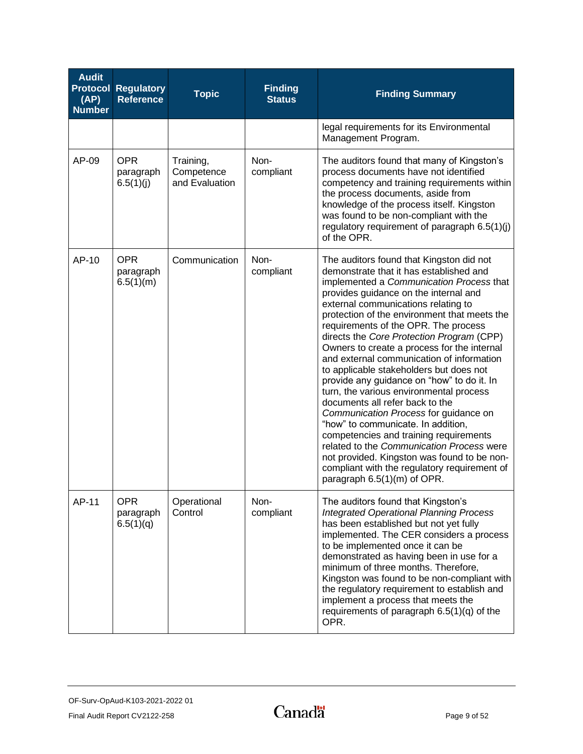| <b>Audit</b><br>(AP)<br><b>Number</b> | <b>Protocol Regulatory</b><br><b>Reference</b> | <b>Topic</b>                              | <b>Finding</b><br><b>Status</b> | <b>Finding Summary</b>                                                                                                                                                                                                                                                                                                                                                                                                                                                                                                                                                                                                                                                                                                                                                                                                                                                                                                      |
|---------------------------------------|------------------------------------------------|-------------------------------------------|---------------------------------|-----------------------------------------------------------------------------------------------------------------------------------------------------------------------------------------------------------------------------------------------------------------------------------------------------------------------------------------------------------------------------------------------------------------------------------------------------------------------------------------------------------------------------------------------------------------------------------------------------------------------------------------------------------------------------------------------------------------------------------------------------------------------------------------------------------------------------------------------------------------------------------------------------------------------------|
|                                       |                                                |                                           |                                 | legal requirements for its Environmental<br>Management Program.                                                                                                                                                                                                                                                                                                                                                                                                                                                                                                                                                                                                                                                                                                                                                                                                                                                             |
| AP-09                                 | <b>OPR</b><br>paragraph<br>6.5(1)(j)           | Training,<br>Competence<br>and Evaluation | Non-<br>compliant               | The auditors found that many of Kingston's<br>process documents have not identified<br>competency and training requirements within<br>the process documents, aside from<br>knowledge of the process itself. Kingston<br>was found to be non-compliant with the<br>regulatory requirement of paragraph 6.5(1)(j)<br>of the OPR.                                                                                                                                                                                                                                                                                                                                                                                                                                                                                                                                                                                              |
| AP-10                                 | <b>OPR</b><br>paragraph<br>6.5(1)(m)           | Communication                             | Non-<br>compliant               | The auditors found that Kingston did not<br>demonstrate that it has established and<br>implemented a Communication Process that<br>provides guidance on the internal and<br>external communications relating to<br>protection of the environment that meets the<br>requirements of the OPR. The process<br>directs the Core Protection Program (CPP)<br>Owners to create a process for the internal<br>and external communication of information<br>to applicable stakeholders but does not<br>provide any guidance on "how" to do it. In<br>turn, the various environmental process<br>documents all refer back to the<br>Communication Process for guidance on<br>"how" to communicate. In addition,<br>competencies and training requirements<br>related to the Communication Process were<br>not provided. Kingston was found to be non-<br>compliant with the regulatory requirement of<br>paragraph 6.5(1)(m) of OPR. |
| AP-11                                 | <b>OPR</b><br>paragraph<br>6.5(1)(q)           | Operational<br>Control                    | Non-<br>compliant               | The auditors found that Kingston's<br><b>Integrated Operational Planning Process</b><br>has been established but not yet fully<br>implemented. The CER considers a process<br>to be implemented once it can be<br>demonstrated as having been in use for a<br>minimum of three months. Therefore,<br>Kingston was found to be non-compliant with<br>the regulatory requirement to establish and<br>implement a process that meets the<br>requirements of paragraph $6.5(1)(q)$ of the<br>OPR.                                                                                                                                                                                                                                                                                                                                                                                                                               |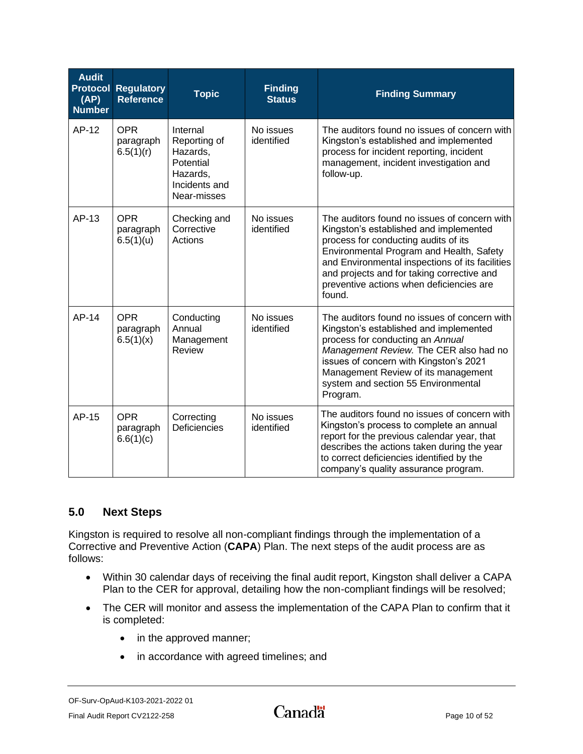| <b>Audit</b><br>(AP)<br><b>Number</b> | <b>Protocol Regulatory</b><br><b>Reference</b> | <b>Topic</b>                                                                                  | <b>Finding</b><br><b>Status</b> | <b>Finding Summary</b>                                                                                                                                                                                                                                                                                                            |
|---------------------------------------|------------------------------------------------|-----------------------------------------------------------------------------------------------|---------------------------------|-----------------------------------------------------------------------------------------------------------------------------------------------------------------------------------------------------------------------------------------------------------------------------------------------------------------------------------|
| AP-12                                 | <b>OPR</b><br>paragraph<br>6.5(1)(r)           | Internal<br>Reporting of<br>Hazards,<br>Potential<br>Hazards,<br>Incidents and<br>Near-misses | No issues<br>identified         | The auditors found no issues of concern with<br>Kingston's established and implemented<br>process for incident reporting, incident<br>management, incident investigation and<br>follow-up.                                                                                                                                        |
| AP-13                                 | <b>OPR</b><br>paragraph<br>6.5(1)(u)           | Checking and<br>Corrective<br>Actions                                                         | No issues<br>identified         | The auditors found no issues of concern with<br>Kingston's established and implemented<br>process for conducting audits of its<br>Environmental Program and Health, Safety<br>and Environmental inspections of its facilities<br>and projects and for taking corrective and<br>preventive actions when deficiencies are<br>found. |
| AP-14                                 | <b>OPR</b><br>paragraph<br>6.5(1)(x)           | Conducting<br>Annual<br>Management<br>Review                                                  | No issues<br>identified         | The auditors found no issues of concern with<br>Kingston's established and implemented<br>process for conducting an Annual<br>Management Review. The CER also had no<br>issues of concern with Kingston's 2021<br>Management Review of its management<br>system and section 55 Environmental<br>Program.                          |
| AP-15                                 | <b>OPR</b><br>paragraph<br>6.6(1)(c)           | Correcting<br>Deficiencies                                                                    | No issues<br>identified         | The auditors found no issues of concern with<br>Kingston's process to complete an annual<br>report for the previous calendar year, that<br>describes the actions taken during the year<br>to correct deficiencies identified by the<br>company's quality assurance program.                                                       |

## <span id="page-11-0"></span>**5.0 Next Steps**

Kingston is required to resolve all non-compliant findings through the implementation of a Corrective and Preventive Action (**CAPA**) Plan. The next steps of the audit process are as follows:

- Within 30 calendar days of receiving the final audit report, Kingston shall deliver a CAPA Plan to the CER for approval, detailing how the non-compliant findings will be resolved;
- The CER will monitor and assess the implementation of the CAPA Plan to confirm that it is completed:
	- in the approved manner;
	- in accordance with agreed timelines; and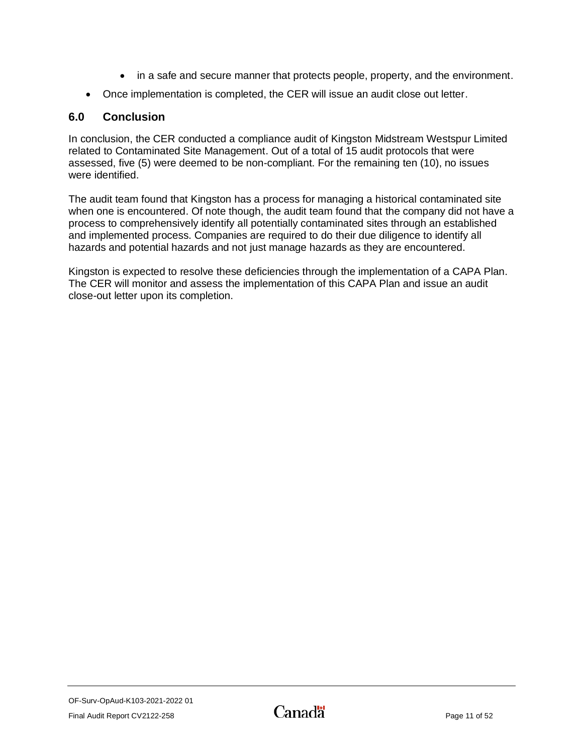- in a safe and secure manner that protects people, property, and the environment.
- Once implementation is completed, the CER will issue an audit close out letter.

## <span id="page-12-0"></span>**6.0 Conclusion**

In conclusion, the CER conducted a compliance audit of Kingston Midstream Westspur Limited related to Contaminated Site Management. Out of a total of 15 audit protocols that were assessed, five (5) were deemed to be non-compliant. For the remaining ten (10), no issues were identified.

The audit team found that Kingston has a process for managing a historical contaminated site when one is encountered. Of note though, the audit team found that the company did not have a process to comprehensively identify all potentially contaminated sites through an established and implemented process. Companies are required to do their due diligence to identify all hazards and potential hazards and not just manage hazards as they are encountered.

Kingston is expected to resolve these deficiencies through the implementation of a CAPA Plan. The CER will monitor and assess the implementation of this CAPA Plan and issue an audit close-out letter upon its completion.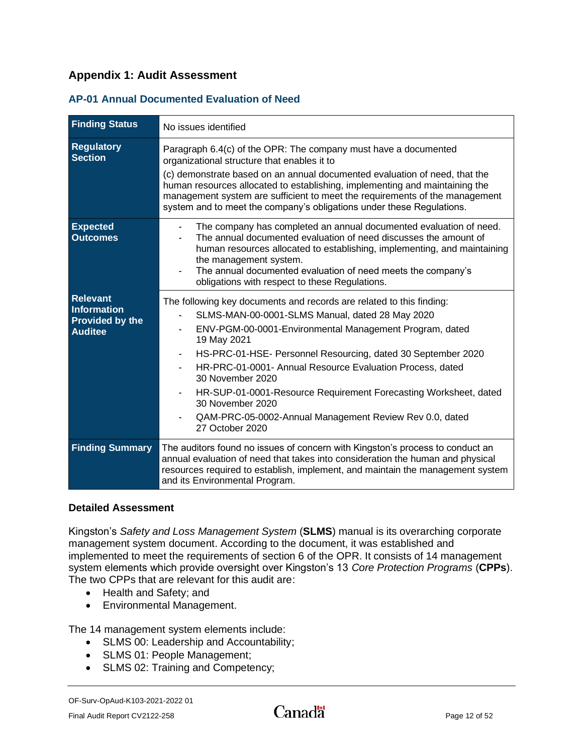## <span id="page-13-0"></span>**Appendix 1: Audit Assessment**

### <span id="page-13-1"></span>**AP-01 Annual Documented Evaluation of Need**

| <b>Finding Status</b>                                                      | No issues identified                                                                                                                                                                                                                                                                                                                                                                                                                                                                                                     |
|----------------------------------------------------------------------------|--------------------------------------------------------------------------------------------------------------------------------------------------------------------------------------------------------------------------------------------------------------------------------------------------------------------------------------------------------------------------------------------------------------------------------------------------------------------------------------------------------------------------|
| <b>Regulatory</b><br><b>Section</b>                                        | Paragraph 6.4(c) of the OPR: The company must have a documented<br>organizational structure that enables it to<br>(c) demonstrate based on an annual documented evaluation of need, that the<br>human resources allocated to establishing, implementing and maintaining the<br>management system are sufficient to meet the requirements of the management<br>system and to meet the company's obligations under these Regulations.                                                                                      |
| <b>Expected</b><br><b>Outcomes</b>                                         | The company has completed an annual documented evaluation of need.<br>The annual documented evaluation of need discusses the amount of<br>human resources allocated to establishing, implementing, and maintaining<br>the management system.<br>The annual documented evaluation of need meets the company's<br>obligations with respect to these Regulations.                                                                                                                                                           |
| <b>Relevant</b><br>Information<br><b>Provided by the</b><br><b>Auditee</b> | The following key documents and records are related to this finding:<br>SLMS-MAN-00-0001-SLMS Manual, dated 28 May 2020<br>ENV-PGM-00-0001-Environmental Management Program, dated<br>19 May 2021<br>HS-PRC-01-HSE- Personnel Resourcing, dated 30 September 2020<br>HR-PRC-01-0001- Annual Resource Evaluation Process, dated<br>30 November 2020<br>HR-SUP-01-0001-Resource Requirement Forecasting Worksheet, dated<br>30 November 2020<br>QAM-PRC-05-0002-Annual Management Review Rev 0.0, dated<br>27 October 2020 |
| <b>Finding Summary</b>                                                     | The auditors found no issues of concern with Kingston's process to conduct an<br>annual evaluation of need that takes into consideration the human and physical<br>resources required to establish, implement, and maintain the management system<br>and its Environmental Program.                                                                                                                                                                                                                                      |

#### **Detailed Assessment**

Kingston's *Safety and Loss Management System* (**SLMS**) manual is its overarching corporate management system document. According to the document, it was established and implemented to meet the requirements of section 6 of the OPR. It consists of 14 management system elements which provide oversight over Kingston's 13 *Core Protection Programs* (**CPPs**). The two CPPs that are relevant for this audit are:

- Health and Safety; and
- Environmental Management.

The 14 management system elements include:

- SLMS 00: Leadership and Accountability;
- SLMS 01: People Management;
- SLMS 02: Training and Competency;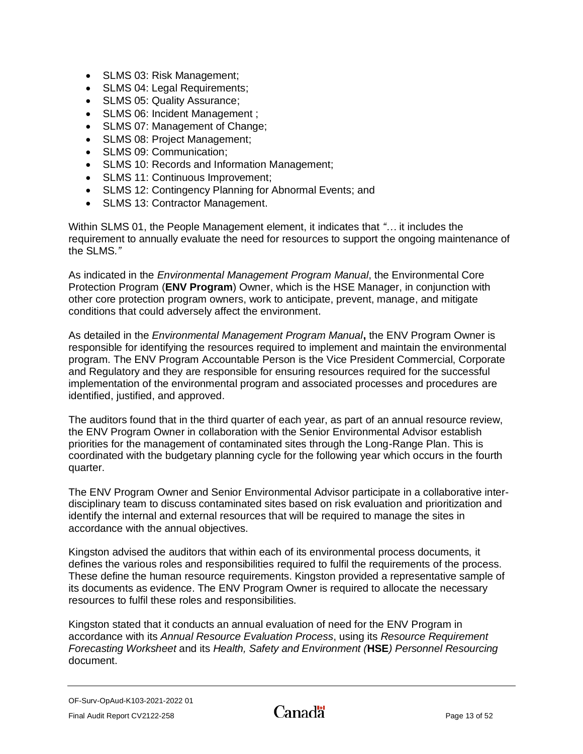- SLMS 03: Risk Management;
- SLMS 04: Legal Requirements;
- SLMS 05: Quality Assurance;
- SLMS 06: Incident Management ;
- SLMS 07: Management of Change;
- SLMS 08: Project Management;
- SLMS 09: Communication;
- SLMS 10: Records and Information Management;
- SLMS 11: Continuous Improvement;
- SLMS 12: Contingency Planning for Abnormal Events; and
- SLMS 13: Contractor Management.

Within SLMS 01, the People Management element, it indicates that *"…* it includes the requirement to annually evaluate the need for resources to support the ongoing maintenance of the SLMS*."*

As indicated in the *Environmental Management Program Manual*, the Environmental Core Protection Program (**ENV Program**) Owner, which is the HSE Manager, in conjunction with other core protection program owners, work to anticipate, prevent, manage, and mitigate conditions that could adversely affect the environment.

As detailed in the *Environmental Management Program Manual***,** the ENV Program Owner is responsible for identifying the resources required to implement and maintain the environmental program. The ENV Program Accountable Person is the Vice President Commercial, Corporate and Regulatory and they are responsible for ensuring resources required for the successful implementation of the environmental program and associated processes and procedures are identified, justified, and approved.

The auditors found that in the third quarter of each year, as part of an annual resource review, the ENV Program Owner in collaboration with the Senior Environmental Advisor establish priorities for the management of contaminated sites through the Long-Range Plan. This is coordinated with the budgetary planning cycle for the following year which occurs in the fourth quarter.

The ENV Program Owner and Senior Environmental Advisor participate in a collaborative interdisciplinary team to discuss contaminated sites based on risk evaluation and prioritization and identify the internal and external resources that will be required to manage the sites in accordance with the annual objectives.

Kingston advised the auditors that within each of its environmental process documents, it defines the various roles and responsibilities required to fulfil the requirements of the process. These define the human resource requirements. Kingston provided a representative sample of its documents as evidence. The ENV Program Owner is required to allocate the necessary resources to fulfil these roles and responsibilities.

Kingston stated that it conducts an annual evaluation of need for the ENV Program in accordance with its *Annual Resource Evaluation Process*, using its *Resource Requirement Forecasting Worksheet* and its *Health, Safety and Environment (***HSE***) Personnel Resourcing* document.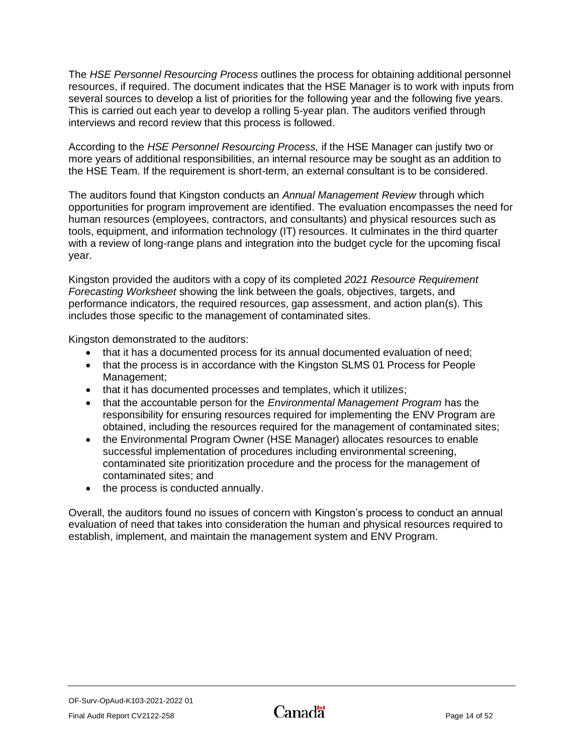The *HSE Personnel Resourcing Process* outlines the process for obtaining additional personnel resources, if required. The document indicates that the HSE Manager is to work with inputs from several sources to develop a list of priorities for the following year and the following five years. This is carried out each year to develop a rolling 5-year plan. The auditors verified through interviews and record review that this process is followed.

According to the *HSE Personnel Resourcing Process,* if the HSE Manager can justify two or more years of additional responsibilities, an internal resource may be sought as an addition to the HSE Team. If the requirement is short-term, an external consultant is to be considered.

The auditors found that Kingston conducts an *Annual Management Review* through which opportunities for program improvement are identified. The evaluation encompasses the need for human resources (employees, contractors, and consultants) and physical resources such as tools, equipment, and information technology (IT) resources. It culminates in the third quarter with a review of long-range plans and integration into the budget cycle for the upcoming fiscal year.

Kingston provided the auditors with a copy of its completed *2021 Resource Requirement Forecasting Worksheet* showing the link between the goals, objectives, targets, and performance indicators, the required resources, gap assessment, and action plan(s). This includes those specific to the management of contaminated sites.

Kingston demonstrated to the auditors:

- that it has a documented process for its annual documented evaluation of need;
- that the process is in accordance with the Kingston SLMS 01 Process for People Management;
- that it has documented processes and templates, which it utilizes;
- that the accountable person for the *Environmental Management Program* has the responsibility for ensuring resources required for implementing the ENV Program are obtained, including the resources required for the management of contaminated sites;
- the Environmental Program Owner (HSE Manager) allocates resources to enable successful implementation of procedures including environmental screening, contaminated site prioritization procedure and the process for the management of contaminated sites; and
- the process is conducted annually.

Overall, the auditors found no issues of concern with Kingston's process to conduct an annual evaluation of need that takes into consideration the human and physical resources required to establish, implement, and maintain the management system and ENV Program.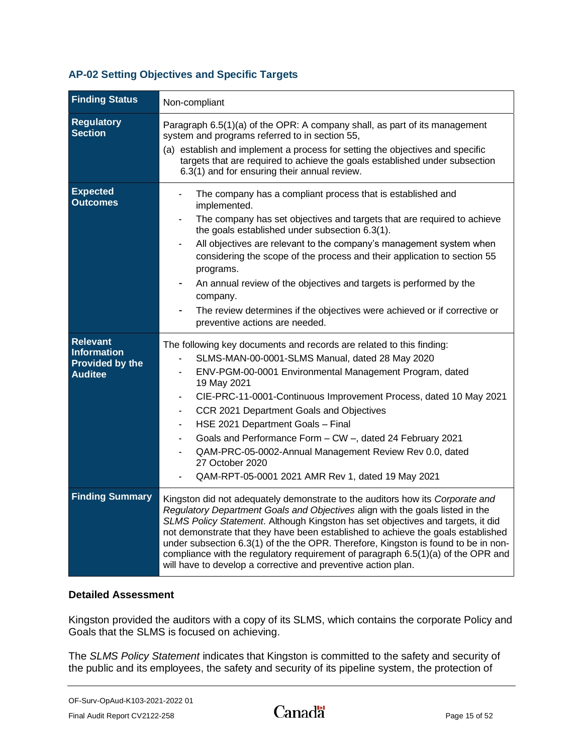### <span id="page-16-0"></span>**AP-02 Setting Objectives and Specific Targets**

| <b>Finding Status</b>                                                      | Non-compliant                                                                                                                                                                                                                                                                                                                                                                                                                                                                                                                                                                    |
|----------------------------------------------------------------------------|----------------------------------------------------------------------------------------------------------------------------------------------------------------------------------------------------------------------------------------------------------------------------------------------------------------------------------------------------------------------------------------------------------------------------------------------------------------------------------------------------------------------------------------------------------------------------------|
| <b>Regulatory</b><br><b>Section</b>                                        | Paragraph 6.5(1)(a) of the OPR: A company shall, as part of its management<br>system and programs referred to in section 55,<br>(a) establish and implement a process for setting the objectives and specific<br>targets that are required to achieve the goals established under subsection<br>6.3(1) and for ensuring their annual review.                                                                                                                                                                                                                                     |
| <b>Expected</b><br><b>Outcomes</b>                                         | The company has a compliant process that is established and<br>implemented.<br>The company has set objectives and targets that are required to achieve<br>the goals established under subsection 6.3(1).<br>All objectives are relevant to the company's management system when<br>considering the scope of the process and their application to section 55<br>programs.<br>An annual review of the objectives and targets is performed by the<br>company.<br>The review determines if the objectives were achieved or if corrective or<br>preventive actions are needed.        |
| <b>Relevant</b><br><b>Information</b><br>Provided by the<br><b>Auditee</b> | The following key documents and records are related to this finding:<br>SLMS-MAN-00-0001-SLMS Manual, dated 28 May 2020<br>ENV-PGM-00-0001 Environmental Management Program, dated<br>19 May 2021<br>CIE-PRC-11-0001-Continuous Improvement Process, dated 10 May 2021<br>$\blacksquare$<br>CCR 2021 Department Goals and Objectives<br>HSE 2021 Department Goals - Final<br>Goals and Performance Form - CW -, dated 24 February 2021<br>QAM-PRC-05-0002-Annual Management Review Rev 0.0, dated<br>27 October 2020<br>QAM-RPT-05-0001 2021 AMR Rev 1, dated 19 May 2021        |
| <b>Finding Summary</b>                                                     | Kingston did not adequately demonstrate to the auditors how its Corporate and<br>Regulatory Department Goals and Objectives align with the goals listed in the<br>SLMS Policy Statement. Although Kingston has set objectives and targets, it did<br>not demonstrate that they have been established to achieve the goals established<br>under subsection 6.3(1) of the the OPR. Therefore, Kingston is found to be in non-<br>compliance with the regulatory requirement of paragraph 6.5(1)(a) of the OPR and<br>will have to develop a corrective and preventive action plan. |

#### **Detailed Assessment**

Kingston provided the auditors with a copy of its SLMS, which contains the corporate Policy and Goals that the SLMS is focused on achieving.

The *SLMS Policy Statement* indicates that Kingston is committed to the safety and security of the public and its employees, the safety and security of its pipeline system, the protection of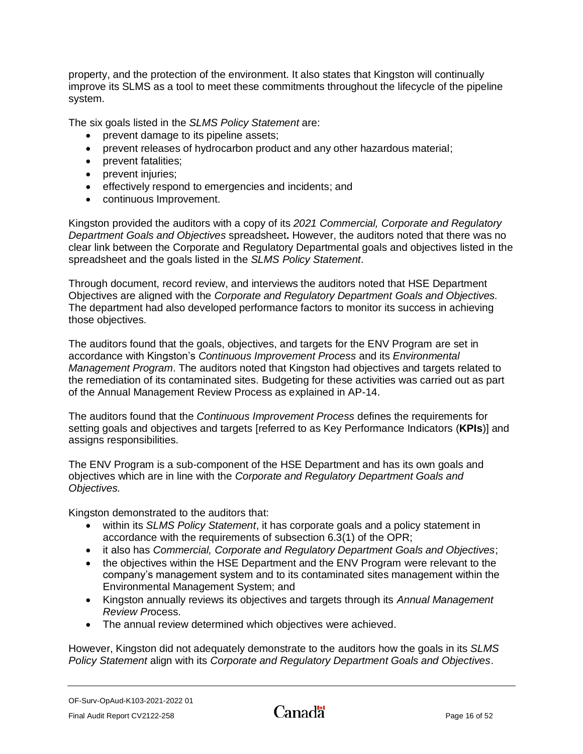property, and the protection of the environment. It also states that Kingston will continually improve its SLMS as a tool to meet these commitments throughout the lifecycle of the pipeline system.

The six goals listed in the *SLMS Policy Statement* are:

- prevent damage to its pipeline assets;
- prevent releases of hydrocarbon product and any other hazardous material;
- prevent fatalities;
- prevent injuries;
- effectively respond to emergencies and incidents; and
- continuous Improvement.

Kingston provided the auditors with a copy of its *2021 Commercial, Corporate and Regulatory Department Goals and Objectives* spreadsheet**.** However, the auditors noted that there was no clear link between the Corporate and Regulatory Departmental goals and objectives listed in the spreadsheet and the goals listed in the *SLMS Policy Statement*.

Through document, record review, and interviews the auditors noted that HSE Department Objectives are aligned with the *Corporate and Regulatory Department Goals and Objectives.* The department had also developed performance factors to monitor its success in achieving those objectives.

The auditors found that the goals, objectives, and targets for the ENV Program are set in accordance with Kingston's *Continuous Improvement Process* and its *Environmental Management Program*. The auditors noted that Kingston had objectives and targets related to the remediation of its contaminated sites. Budgeting for these activities was carried out as part of the Annual Management Review Process as explained in AP-14.

The auditors found that the *Continuous Improvement Process* defines the requirements for setting goals and objectives and targets [referred to as Key Performance Indicators (**KPIs**)] and assigns responsibilities.

The ENV Program is a sub-component of the HSE Department and has its own goals and objectives which are in line with the *Corporate and Regulatory Department Goals and Objectives.*

Kingston demonstrated to the auditors that:

- within its *SLMS Policy Statement*, it has corporate goals and a policy statement in accordance with the requirements of subsection 6.3(1) of the OPR;
- it also has *Commercial, Corporate and Regulatory Department Goals and Objectives*;
- the objectives within the HSE Department and the ENV Program were relevant to the company's management system and to its contaminated sites management within the Environmental Management System; and
- Kingston annually reviews its objectives and targets through its *Annual Management Review Pr*ocess.
- The annual review determined which objectives were achieved.

However, Kingston did not adequately demonstrate to the auditors how the goals in its *SLMS Policy Statement* align with its *Corporate and Regulatory Department Goals and Objectives*.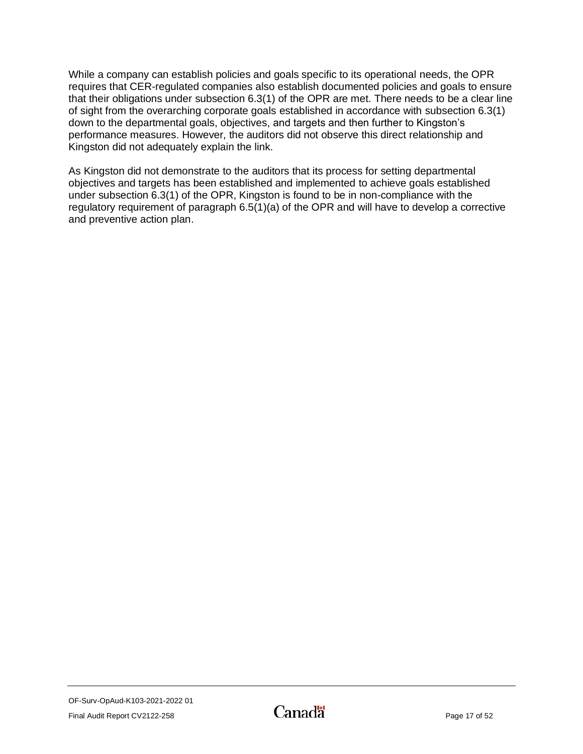While a company can establish policies and goals specific to its operational needs, the OPR requires that CER-regulated companies also establish documented policies and goals to ensure that their obligations under subsection 6.3(1) of the OPR are met. There needs to be a clear line of sight from the overarching corporate goals established in accordance with subsection 6.3(1) down to the departmental goals, objectives, and targets and then further to Kingston's performance measures. However, the auditors did not observe this direct relationship and Kingston did not adequately explain the link.

<span id="page-18-0"></span>As Kingston did not demonstrate to the auditors that its process for setting departmental objectives and targets has been established and implemented to achieve goals established under subsection 6.3(1) of the OPR, Kingston is found to be in non-compliance with the regulatory requirement of paragraph 6.5(1)(a) of the OPR and will have to develop a corrective and preventive action plan.

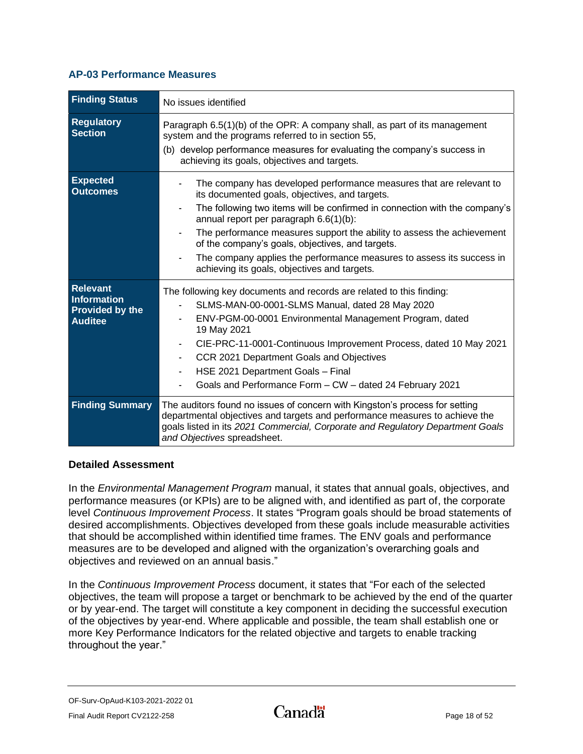### **AP-03 Performance Measures**

| <b>Finding Status</b>                                                             | No issues identified                                                                                                                                                                                                                                                                                                                                                                                                                                                                                 |
|-----------------------------------------------------------------------------------|------------------------------------------------------------------------------------------------------------------------------------------------------------------------------------------------------------------------------------------------------------------------------------------------------------------------------------------------------------------------------------------------------------------------------------------------------------------------------------------------------|
| <b>Regulatory</b><br><b>Section</b>                                               | Paragraph 6.5(1)(b) of the OPR: A company shall, as part of its management<br>system and the programs referred to in section 55,<br>(b) develop performance measures for evaluating the company's success in<br>achieving its goals, objectives and targets.                                                                                                                                                                                                                                         |
| <b>Expected</b><br><b>Outcomes</b>                                                | The company has developed performance measures that are relevant to<br>its documented goals, objectives, and targets.<br>The following two items will be confirmed in connection with the company's<br>annual report per paragraph 6.6(1)(b):<br>The performance measures support the ability to assess the achievement<br>of the company's goals, objectives, and targets.<br>The company applies the performance measures to assess its success in<br>achieving its goals, objectives and targets. |
| <b>Relevant</b><br><b>Information</b><br><b>Provided by the</b><br><b>Auditee</b> | The following key documents and records are related to this finding:<br>SLMS-MAN-00-0001-SLMS Manual, dated 28 May 2020<br>ENV-PGM-00-0001 Environmental Management Program, dated<br>19 May 2021<br>CIE-PRC-11-0001-Continuous Improvement Process, dated 10 May 2021<br>CCR 2021 Department Goals and Objectives<br>HSE 2021 Department Goals - Final<br>Goals and Performance Form - CW - dated 24 February 2021                                                                                  |
| <b>Finding Summary</b>                                                            | The auditors found no issues of concern with Kingston's process for setting<br>departmental objectives and targets and performance measures to achieve the<br>goals listed in its 2021 Commercial, Corporate and Regulatory Department Goals<br>and Objectives spreadsheet.                                                                                                                                                                                                                          |

#### **Detailed Assessment**

In the *Environmental Management Program* manual, it states that annual goals, objectives, and performance measures (or KPIs) are to be aligned with, and identified as part of, the corporate level *Continuous Improvement Process*. It states "Program goals should be broad statements of desired accomplishments. Objectives developed from these goals include measurable activities that should be accomplished within identified time frames. The ENV goals and performance measures are to be developed and aligned with the organization's overarching goals and objectives and reviewed on an annual basis."

In the *Continuous Improvement Process* document, it states that "For each of the selected objectives, the team will propose a target or benchmark to be achieved by the end of the quarter or by year-end. The target will constitute a key component in deciding the successful execution of the objectives by year-end. Where applicable and possible, the team shall establish one or more Key Performance Indicators for the related objective and targets to enable tracking throughout the year."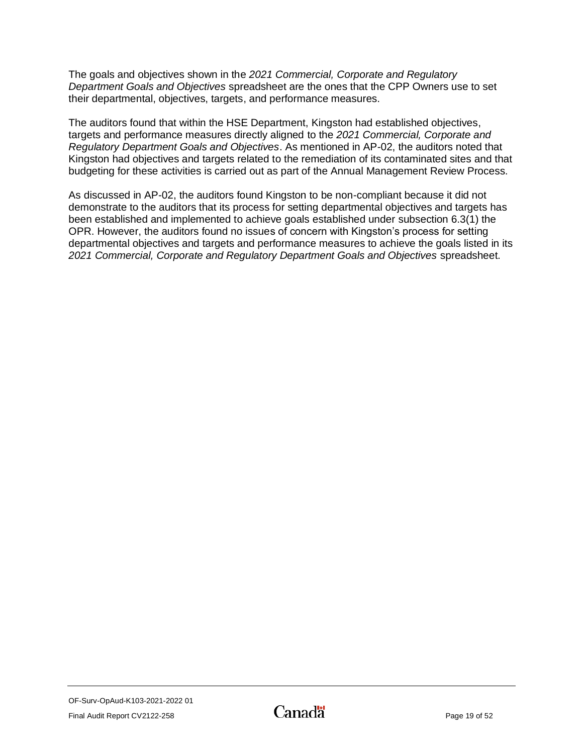The goals and objectives shown in the *2021 Commercial, Corporate and Regulatory Department Goals and Objectives* spreadsheet are the ones that the CPP Owners use to set their departmental, objectives, targets, and performance measures.

The auditors found that within the HSE Department, Kingston had established objectives, targets and performance measures directly aligned to the *2021 Commercial, Corporate and Regulatory Department Goals and Objectives*. As mentioned in AP-02, the auditors noted that Kingston had objectives and targets related to the remediation of its contaminated sites and that budgeting for these activities is carried out as part of the Annual Management Review Process.

As discussed in AP-02, the auditors found Kingston to be non-compliant because it did not demonstrate to the auditors that its process for setting departmental objectives and targets has been established and implemented to achieve goals established under subsection 6.3(1) the OPR. However, the auditors found no issues of concern with Kingston's process for setting departmental objectives and targets and performance measures to achieve the goals listed in its *2021 Commercial, Corporate and Regulatory Department Goals and Objectives* spreadsheet.

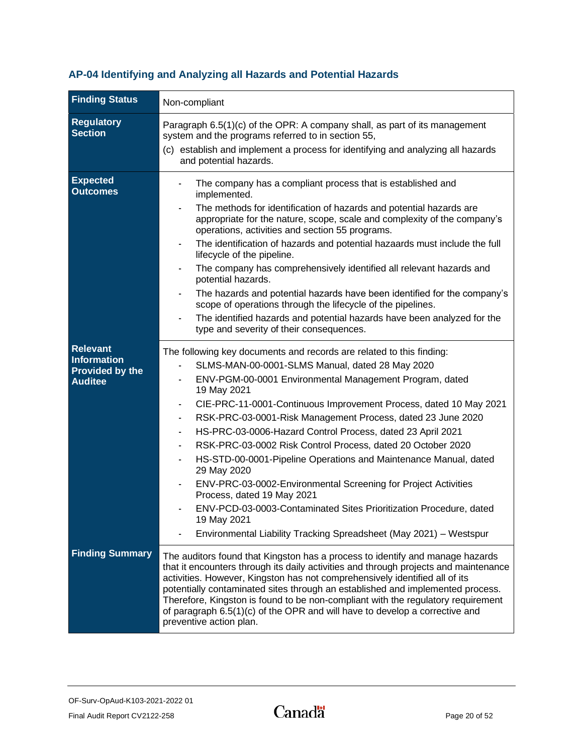## <span id="page-21-0"></span>**AP-04 Identifying and Analyzing all Hazards and Potential Hazards**

| <b>Finding Status</b>                                                             | Non-compliant                                                                                                                                                                                                                                                                                                                                                                                                                                                                                                                                                                                                                                                                                                                                                                                                                                                                    |
|-----------------------------------------------------------------------------------|----------------------------------------------------------------------------------------------------------------------------------------------------------------------------------------------------------------------------------------------------------------------------------------------------------------------------------------------------------------------------------------------------------------------------------------------------------------------------------------------------------------------------------------------------------------------------------------------------------------------------------------------------------------------------------------------------------------------------------------------------------------------------------------------------------------------------------------------------------------------------------|
| <b>Regulatory</b><br><b>Section</b>                                               | Paragraph 6.5(1)(c) of the OPR: A company shall, as part of its management<br>system and the programs referred to in section 55,<br>(c) establish and implement a process for identifying and analyzing all hazards<br>and potential hazards.                                                                                                                                                                                                                                                                                                                                                                                                                                                                                                                                                                                                                                    |
| <b>Expected</b><br><b>Outcomes</b>                                                | The company has a compliant process that is established and<br>implemented.<br>The methods for identification of hazards and potential hazards are<br>appropriate for the nature, scope, scale and complexity of the company's<br>operations, activities and section 55 programs.<br>The identification of hazards and potential hazaards must include the full<br>lifecycle of the pipeline.<br>The company has comprehensively identified all relevant hazards and<br>potential hazards.<br>The hazards and potential hazards have been identified for the company's<br>scope of operations through the lifecycle of the pipelines.<br>The identified hazards and potential hazards have been analyzed for the<br>type and severity of their consequences.                                                                                                                     |
| <b>Relevant</b><br><b>Information</b><br><b>Provided by the</b><br><b>Auditee</b> | The following key documents and records are related to this finding:<br>SLMS-MAN-00-0001-SLMS Manual, dated 28 May 2020<br>ENV-PGM-00-0001 Environmental Management Program, dated<br>19 May 2021<br>CIE-PRC-11-0001-Continuous Improvement Process, dated 10 May 2021<br>$\overline{\phantom{a}}$<br>RSK-PRC-03-0001-Risk Management Process, dated 23 June 2020<br>$\blacksquare$<br>HS-PRC-03-0006-Hazard Control Process, dated 23 April 2021<br>$\blacksquare$<br>RSK-PRC-03-0002 Risk Control Process, dated 20 October 2020<br>HS-STD-00-0001-Pipeline Operations and Maintenance Manual, dated<br>29 May 2020<br>ENV-PRC-03-0002-Environmental Screening for Project Activities<br>Process, dated 19 May 2021<br>ENV-PCD-03-0003-Contaminated Sites Prioritization Procedure, dated<br>19 May 2021<br>Environmental Liability Tracking Spreadsheet (May 2021) - Westspur |
| <b>Finding Summary</b>                                                            | The auditors found that Kingston has a process to identify and manage hazards<br>that it encounters through its daily activities and through projects and maintenance<br>activities. However, Kingston has not comprehensively identified all of its<br>potentially contaminated sites through an established and implemented process.<br>Therefore, Kingston is found to be non-compliant with the regulatory requirement<br>of paragraph 6.5(1)(c) of the OPR and will have to develop a corrective and<br>preventive action plan.                                                                                                                                                                                                                                                                                                                                             |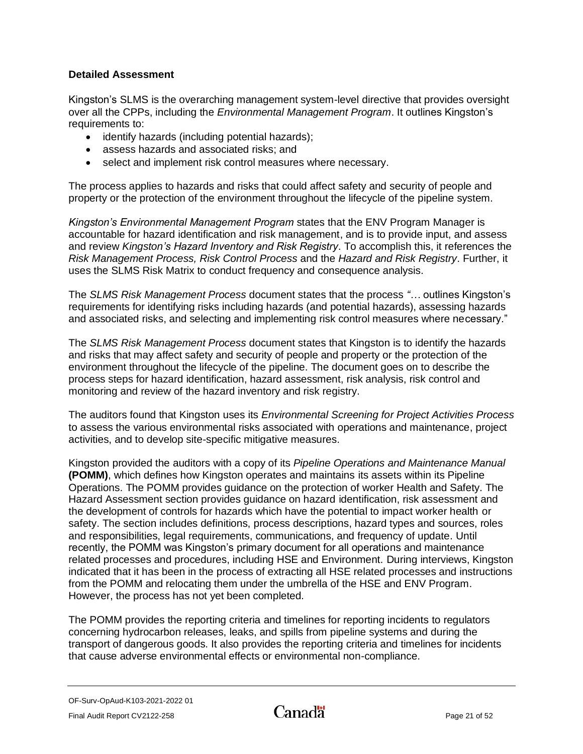### **Detailed Assessment**

Kingston's SLMS is the overarching management system-level directive that provides oversight over all the CPPs, including the *Environmental Management Program*. It outlines Kingston's requirements to:

- identify hazards (including potential hazards);
- assess hazards and associated risks; and
- select and implement risk control measures where necessary.

The process applies to hazards and risks that could affect safety and security of people and property or the protection of the environment throughout the lifecycle of the pipeline system.

*Kingston's Environmental Management Program* states that the ENV Program Manager is accountable for hazard identification and risk management, and is to provide input, and assess and review *Kingston's Hazard Inventory and Risk Registry*. To accomplish this, it references the *Risk Management Process, Risk Control Process* and the *Hazard and Risk Registry*. Further, it uses the SLMS Risk Matrix to conduct frequency and consequence analysis.

The *SLMS Risk Management Process* document states that the process *"…* outlines Kingston's requirements for identifying risks including hazards (and potential hazards), assessing hazards and associated risks, and selecting and implementing risk control measures where necessary."

The *SLMS Risk Management Process* document states that Kingston is to identify the hazards and risks that may affect safety and security of people and property or the protection of the environment throughout the lifecycle of the pipeline. The document goes on to describe the process steps for hazard identification, hazard assessment, risk analysis, risk control and monitoring and review of the hazard inventory and risk registry.

The auditors found that Kingston uses its *Environmental Screening for Project Activities Process* to assess the various environmental risks associated with operations and maintenance, project activities, and to develop site-specific mitigative measures.

Kingston provided the auditors with a copy of its *Pipeline Operations and Maintenance Manual* **(POMM)**, which defines how Kingston operates and maintains its assets within its Pipeline Operations. The POMM provides guidance on the protection of worker Health and Safety. The Hazard Assessment section provides guidance on hazard identification, risk assessment and the development of controls for hazards which have the potential to impact worker health or safety. The section includes definitions, process descriptions, hazard types and sources, roles and responsibilities, legal requirements, communications, and frequency of update. Until recently, the POMM was Kingston's primary document for all operations and maintenance related processes and procedures, including HSE and Environment. During interviews, Kingston indicated that it has been in the process of extracting all HSE related processes and instructions from the POMM and relocating them under the umbrella of the HSE and ENV Program. However, the process has not yet been completed.

The POMM provides the reporting criteria and timelines for reporting incidents to regulators concerning hydrocarbon releases, leaks, and spills from pipeline systems and during the transport of dangerous goods. It also provides the reporting criteria and timelines for incidents that cause adverse environmental effects or environmental non-compliance.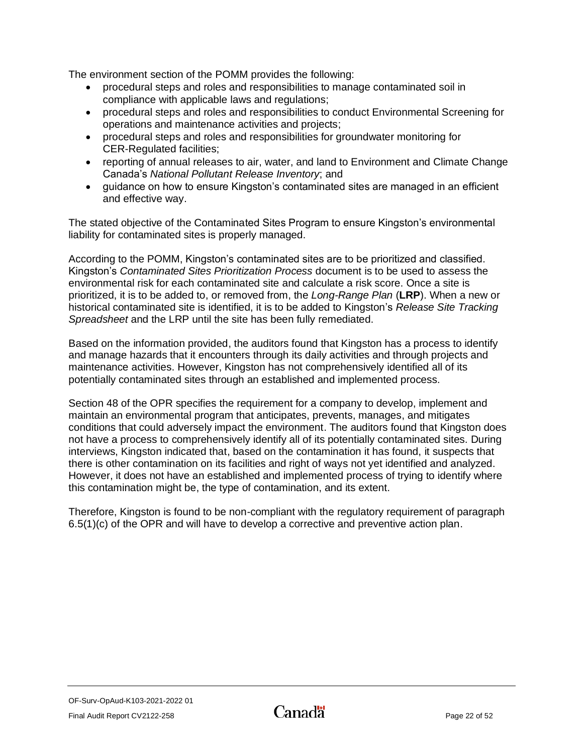The environment section of the POMM provides the following:

- procedural steps and roles and responsibilities to manage contaminated soil in compliance with applicable laws and regulations;
- procedural steps and roles and responsibilities to conduct Environmental Screening for operations and maintenance activities and projects;
- procedural steps and roles and responsibilities for groundwater monitoring for CER-Regulated facilities;
- reporting of annual releases to air, water, and land to Environment and Climate Change Canada's *National Pollutant Release Inventory*; and
- guidance on how to ensure Kingston's contaminated sites are managed in an efficient and effective way.

The stated objective of the Contaminated Sites Program to ensure Kingston's environmental liability for contaminated sites is properly managed.

According to the POMM, Kingston's contaminated sites are to be prioritized and classified. Kingston's *Contaminated Sites Prioritization Process* document is to be used to assess the environmental risk for each contaminated site and calculate a risk score. Once a site is prioritized, it is to be added to, or removed from, the *Long-Range Plan* (**LRP**). When a new or historical contaminated site is identified, it is to be added to Kingston's *Release Site Tracking Spreadsheet* and the LRP until the site has been fully remediated.

Based on the information provided, the auditors found that Kingston has a process to identify and manage hazards that it encounters through its daily activities and through projects and maintenance activities. However, Kingston has not comprehensively identified all of its potentially contaminated sites through an established and implemented process.

Section 48 of the OPR specifies the requirement for a company to develop, implement and maintain an environmental program that anticipates, prevents, manages, and mitigates conditions that could adversely impact the environment. The auditors found that Kingston does not have a process to comprehensively identify all of its potentially contaminated sites. During interviews, Kingston indicated that, based on the contamination it has found, it suspects that there is other contamination on its facilities and right of ways not yet identified and analyzed. However, it does not have an established and implemented process of trying to identify where this contamination might be, the type of contamination, and its extent.

<span id="page-23-0"></span>Therefore, Kingston is found to be non-compliant with the regulatory requirement of paragraph 6.5(1)(c) of the OPR and will have to develop a corrective and preventive action plan.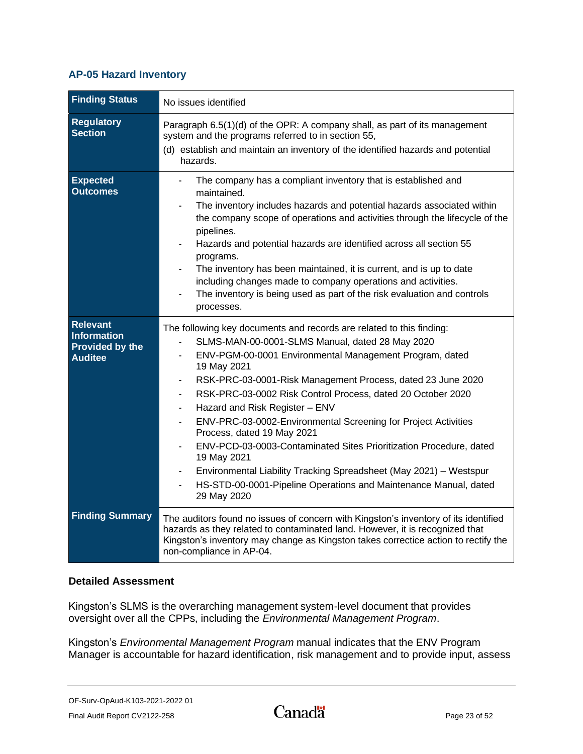### **AP-05 Hazard Inventory**

| <b>Finding Status</b>                                                      | No issues identified                                                                                                                                                                                                                                                                                                                                                                                                                                                                                                                                                                                                                                                                                                                                |
|----------------------------------------------------------------------------|-----------------------------------------------------------------------------------------------------------------------------------------------------------------------------------------------------------------------------------------------------------------------------------------------------------------------------------------------------------------------------------------------------------------------------------------------------------------------------------------------------------------------------------------------------------------------------------------------------------------------------------------------------------------------------------------------------------------------------------------------------|
| <b>Regulatory</b><br><b>Section</b>                                        | Paragraph 6.5(1)(d) of the OPR: A company shall, as part of its management<br>system and the programs referred to in section 55,<br>(d) establish and maintain an inventory of the identified hazards and potential<br>hazards.                                                                                                                                                                                                                                                                                                                                                                                                                                                                                                                     |
| <b>Expected</b><br><b>Outcomes</b>                                         | The company has a compliant inventory that is established and<br>maintained.<br>The inventory includes hazards and potential hazards associated within<br>the company scope of operations and activities through the lifecycle of the<br>pipelines.<br>Hazards and potential hazards are identified across all section 55<br>programs.<br>The inventory has been maintained, it is current, and is up to date<br>including changes made to company operations and activities.<br>The inventory is being used as part of the risk evaluation and controls<br>processes.                                                                                                                                                                              |
| <b>Relevant</b><br><b>Information</b><br>Provided by the<br><b>Auditee</b> | The following key documents and records are related to this finding:<br>SLMS-MAN-00-0001-SLMS Manual, dated 28 May 2020<br>$\blacksquare$<br>ENV-PGM-00-0001 Environmental Management Program, dated<br>19 May 2021<br>RSK-PRC-03-0001-Risk Management Process, dated 23 June 2020<br>RSK-PRC-03-0002 Risk Control Process, dated 20 October 2020<br>Hazard and Risk Register - ENV<br>ENV-PRC-03-0002-Environmental Screening for Project Activities<br>Process, dated 19 May 2021<br>ENV-PCD-03-0003-Contaminated Sites Prioritization Procedure, dated<br>19 May 2021<br>Environmental Liability Tracking Spreadsheet (May 2021) - Westspur<br>$\blacksquare$<br>HS-STD-00-0001-Pipeline Operations and Maintenance Manual, dated<br>29 May 2020 |
| <b>Finding Summary</b>                                                     | The auditors found no issues of concern with Kingston's inventory of its identified<br>hazards as they related to contaminated land. However, it is recognized that<br>Kingston's inventory may change as Kingston takes correctice action to rectify the<br>non-compliance in AP-04.                                                                                                                                                                                                                                                                                                                                                                                                                                                               |

#### **Detailed Assessment**

Kingston's SLMS is the overarching management system-level document that provides oversight over all the CPPs, including the *Environmental Management Program*.

Kingston's *Environmental Management Program* manual indicates that the ENV Program Manager is accountable for hazard identification, risk management and to provide input, assess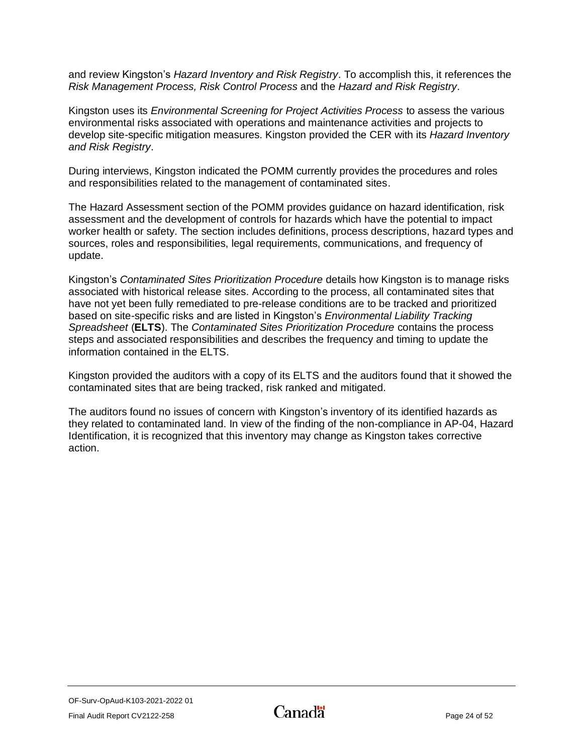and review Kingston's *Hazard Inventory and Risk Registry*. To accomplish this, it references the *Risk Management Process, Risk Control Process* and the *Hazard and Risk Registry*.

Kingston uses its *Environmental Screening for Project Activities Process* to assess the various environmental risks associated with operations and maintenance activities and projects to develop site-specific mitigation measures. Kingston provided the CER with its *Hazard Inventory and Risk Registry*.

During interviews, Kingston indicated the POMM currently provides the procedures and roles and responsibilities related to the management of contaminated sites.

The Hazard Assessment section of the POMM provides guidance on hazard identification, risk assessment and the development of controls for hazards which have the potential to impact worker health or safety. The section includes definitions, process descriptions, hazard types and sources, roles and responsibilities, legal requirements, communications, and frequency of update.

Kingston's *Contaminated Sites Prioritization Procedure* details how Kingston is to manage risks associated with historical release sites. According to the process, all contaminated sites that have not yet been fully remediated to pre-release conditions are to be tracked and prioritized based on site-specific risks and are listed in Kingston's *Environmental Liability Tracking Spreadsheet* (**ELTS**). The *Contaminated Sites Prioritization Procedure* contains the process steps and associated responsibilities and describes the frequency and timing to update the information contained in the ELTS.

Kingston provided the auditors with a copy of its ELTS and the auditors found that it showed the contaminated sites that are being tracked, risk ranked and mitigated.

<span id="page-25-0"></span>The auditors found no issues of concern with Kingston's inventory of its identified hazards as they related to contaminated land. In view of the finding of the non-compliance in AP-04, Hazard Identification, it is recognized that this inventory may change as Kingston takes corrective action.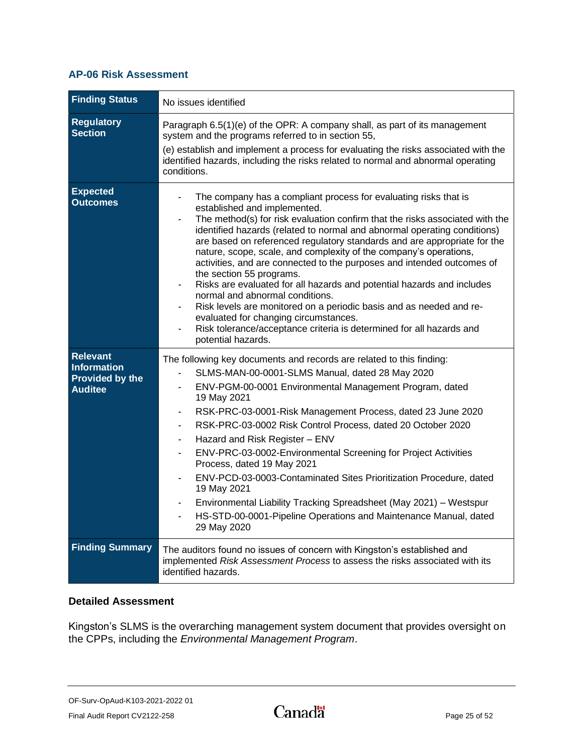## **AP-06 Risk Assessment**

| <b>Finding Status</b>                                                             | No issues identified                                                                                                                                                                                                                                                                                                                                                                                                                                                                                                                                                                                                                                                                                                                                                                                                                           |
|-----------------------------------------------------------------------------------|------------------------------------------------------------------------------------------------------------------------------------------------------------------------------------------------------------------------------------------------------------------------------------------------------------------------------------------------------------------------------------------------------------------------------------------------------------------------------------------------------------------------------------------------------------------------------------------------------------------------------------------------------------------------------------------------------------------------------------------------------------------------------------------------------------------------------------------------|
| <b>Regulatory</b><br><b>Section</b>                                               | Paragraph 6.5(1)(e) of the OPR: A company shall, as part of its management<br>system and the programs referred to in section 55,<br>(e) establish and implement a process for evaluating the risks associated with the<br>identified hazards, including the risks related to normal and abnormal operating<br>conditions.                                                                                                                                                                                                                                                                                                                                                                                                                                                                                                                      |
| <b>Expected</b><br><b>Outcomes</b>                                                | The company has a compliant process for evaluating risks that is<br>established and implemented.<br>The method(s) for risk evaluation confirm that the risks associated with the<br>identified hazards (related to normal and abnormal operating conditions)<br>are based on referenced regulatory standards and are appropriate for the<br>nature, scope, scale, and complexity of the company's operations,<br>activities, and are connected to the purposes and intended outcomes of<br>the section 55 programs.<br>Risks are evaluated for all hazards and potential hazards and includes<br>normal and abnormal conditions.<br>Risk levels are monitored on a periodic basis and as needed and re-<br>evaluated for changing circumstances.<br>Risk tolerance/acceptance criteria is determined for all hazards and<br>potential hazards. |
| <b>Relevant</b><br><b>Information</b><br><b>Provided by the</b><br><b>Auditee</b> | The following key documents and records are related to this finding:<br>SLMS-MAN-00-0001-SLMS Manual, dated 28 May 2020<br>ENV-PGM-00-0001 Environmental Management Program, dated<br>$\overline{a}$<br>19 May 2021<br>RSK-PRC-03-0001-Risk Management Process, dated 23 June 2020<br>RSK-PRC-03-0002 Risk Control Process, dated 20 October 2020<br>Hazard and Risk Register - ENV<br>ENV-PRC-03-0002-Environmental Screening for Project Activities<br>Process, dated 19 May 2021<br>ENV-PCD-03-0003-Contaminated Sites Prioritization Procedure, dated<br>19 May 2021<br>Environmental Liability Tracking Spreadsheet (May 2021) - Westspur<br>HS-STD-00-0001-Pipeline Operations and Maintenance Manual, dated<br>29 May 2020                                                                                                              |
| <b>Finding Summary</b>                                                            | The auditors found no issues of concern with Kingston's established and<br>implemented Risk Assessment Process to assess the risks associated with its<br>identified hazards.                                                                                                                                                                                                                                                                                                                                                                                                                                                                                                                                                                                                                                                                  |

### **Detailed Assessment**

Kingston's SLMS is the overarching management system document that provides oversight on the CPPs, including the *Environmental Management Program*.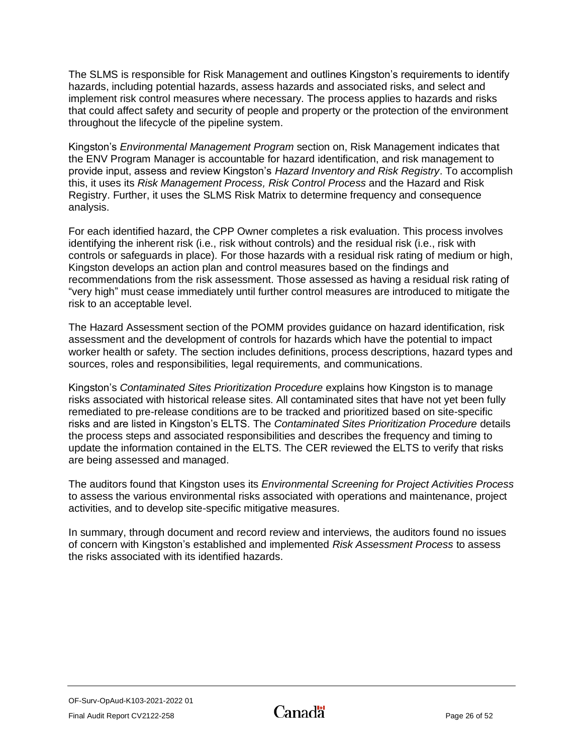The SLMS is responsible for Risk Management and outlines Kingston's requirements to identify hazards, including potential hazards, assess hazards and associated risks, and select and implement risk control measures where necessary. The process applies to hazards and risks that could affect safety and security of people and property or the protection of the environment throughout the lifecycle of the pipeline system.

Kingston's *Environmental Management Program* section on, Risk Management indicates that the ENV Program Manager is accountable for hazard identification, and risk management to provide input, assess and review Kingston's *Hazard Inventory and Risk Registry*. To accomplish this, it uses its *Risk Management Process, Risk Control Process* and the Hazard and Risk Registry. Further, it uses the SLMS Risk Matrix to determine frequency and consequence analysis.

For each identified hazard, the CPP Owner completes a risk evaluation. This process involves identifying the inherent risk (i.e., risk without controls) and the residual risk (i.e., risk with controls or safeguards in place). For those hazards with a residual risk rating of medium or high, Kingston develops an action plan and control measures based on the findings and recommendations from the risk assessment. Those assessed as having a residual risk rating of "very high" must cease immediately until further control measures are introduced to mitigate the risk to an acceptable level.

The Hazard Assessment section of the POMM provides guidance on hazard identification, risk assessment and the development of controls for hazards which have the potential to impact worker health or safety. The section includes definitions, process descriptions, hazard types and sources, roles and responsibilities, legal requirements, and communications.

Kingston's *Contaminated Sites Prioritization Procedure* explains how Kingston is to manage risks associated with historical release sites. All contaminated sites that have not yet been fully remediated to pre-release conditions are to be tracked and prioritized based on site-specific risks and are listed in Kingston's ELTS. The *Contaminated Sites Prioritization Procedure* details the process steps and associated responsibilities and describes the frequency and timing to update the information contained in the ELTS. The CER reviewed the ELTS to verify that risks are being assessed and managed.

The auditors found that Kingston uses its *Environmental Screening for Project Activities Process* to assess the various environmental risks associated with operations and maintenance, project activities, and to develop site-specific mitigative measures.

<span id="page-27-0"></span>In summary, through document and record review and interviews, the auditors found no issues of concern with Kingston's established and implemented *Risk Assessment Process* to assess the risks associated with its identified hazards.

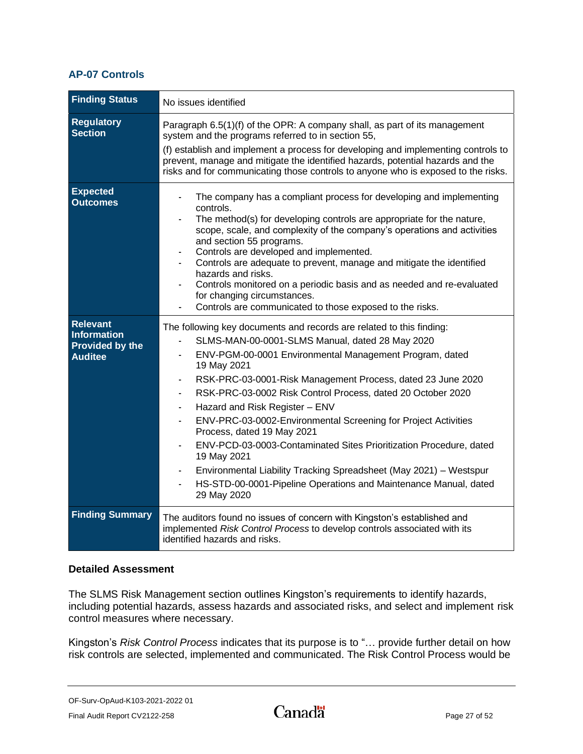## **AP-07 Controls**

| <b>Finding Status</b>                                                      | No issues identified                                                                                                                                                                                                                                                                                                                                                                                                                                                                                                                                                                                                                                                                                            |
|----------------------------------------------------------------------------|-----------------------------------------------------------------------------------------------------------------------------------------------------------------------------------------------------------------------------------------------------------------------------------------------------------------------------------------------------------------------------------------------------------------------------------------------------------------------------------------------------------------------------------------------------------------------------------------------------------------------------------------------------------------------------------------------------------------|
| <b>Regulatory</b><br><b>Section</b>                                        | Paragraph 6.5(1)(f) of the OPR: A company shall, as part of its management<br>system and the programs referred to in section 55,<br>(f) establish and implement a process for developing and implementing controls to<br>prevent, manage and mitigate the identified hazards, potential hazards and the<br>risks and for communicating those controls to anyone who is exposed to the risks.                                                                                                                                                                                                                                                                                                                    |
| <b>Expected</b><br><b>Outcomes</b>                                         | The company has a compliant process for developing and implementing<br>controls.<br>The method(s) for developing controls are appropriate for the nature,<br>scope, scale, and complexity of the company's operations and activities<br>and section 55 programs.<br>Controls are developed and implemented.<br>Controls are adequate to prevent, manage and mitigate the identified<br>hazards and risks.<br>Controls monitored on a periodic basis and as needed and re-evaluated<br>for changing circumstances.<br>Controls are communicated to those exposed to the risks.                                                                                                                                   |
| <b>Relevant</b><br><b>Information</b><br>Provided by the<br><b>Auditee</b> | The following key documents and records are related to this finding:<br>SLMS-MAN-00-0001-SLMS Manual, dated 28 May 2020<br>ENV-PGM-00-0001 Environmental Management Program, dated<br>19 May 2021<br>RSK-PRC-03-0001-Risk Management Process, dated 23 June 2020<br>RSK-PRC-03-0002 Risk Control Process, dated 20 October 2020<br>Hazard and Risk Register - ENV<br>ENV-PRC-03-0002-Environmental Screening for Project Activities<br>Process, dated 19 May 2021<br>ENV-PCD-03-0003-Contaminated Sites Prioritization Procedure, dated<br>19 May 2021<br>Environmental Liability Tracking Spreadsheet (May 2021) - Westspur<br>HS-STD-00-0001-Pipeline Operations and Maintenance Manual, dated<br>29 May 2020 |
| <b>Finding Summary</b>                                                     | The auditors found no issues of concern with Kingston's established and<br>implemented Risk Control Process to develop controls associated with its<br>identified hazards and risks.                                                                                                                                                                                                                                                                                                                                                                                                                                                                                                                            |

#### **Detailed Assessment**

The SLMS Risk Management section outlines Kingston's requirements to identify hazards, including potential hazards, assess hazards and associated risks, and select and implement risk control measures where necessary.

Kingston's *Risk Control Process* indicates that its purpose is to "… provide further detail on how risk controls are selected, implemented and communicated. The Risk Control Process would be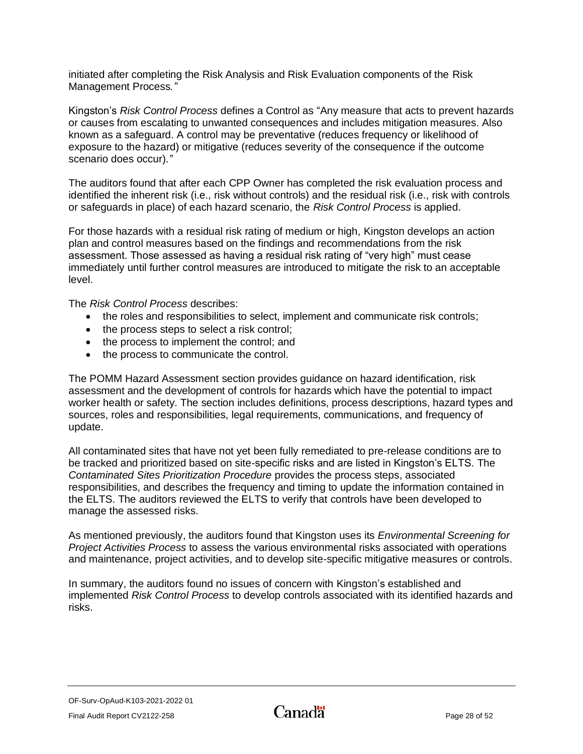initiated after completing the Risk Analysis and Risk Evaluation components of the Risk Management Process*."*

Kingston's *Risk Control Process* defines a Control as "Any measure that acts to prevent hazards or causes from escalating to unwanted consequences and includes mitigation measures. Also known as a safeguard. A control may be preventative (reduces frequency or likelihood of exposure to the hazard) or mitigative (reduces severity of the consequence if the outcome scenario does occur).*"*

The auditors found that after each CPP Owner has completed the risk evaluation process and identified the inherent risk (i.e., risk without controls) and the residual risk (i.e., risk with controls or safeguards in place) of each hazard scenario, the *Risk Control Process* is applied.

For those hazards with a residual risk rating of medium or high, Kingston develops an action plan and control measures based on the findings and recommendations from the risk assessment. Those assessed as having a residual risk rating of "very high" must cease immediately until further control measures are introduced to mitigate the risk to an acceptable level.

The *Risk Control Process* describes:

- the roles and responsibilities to select, implement and communicate risk controls;
- the process steps to select a risk control;
- the process to implement the control; and
- the process to communicate the control.

The POMM Hazard Assessment section provides guidance on hazard identification, risk assessment and the development of controls for hazards which have the potential to impact worker health or safety. The section includes definitions, process descriptions, hazard types and sources, roles and responsibilities, legal requirements, communications, and frequency of update.

All contaminated sites that have not yet been fully remediated to pre-release conditions are to be tracked and prioritized based on site-specific risks and are listed in Kingston's ELTS. The *Contaminated Sites Prioritization Procedure* provides the process steps, associated responsibilities, and describes the frequency and timing to update the information contained in the ELTS. The auditors reviewed the ELTS to verify that controls have been developed to manage the assessed risks.

As mentioned previously, the auditors found that Kingston uses its *Environmental Screening for Project Activities Process* to assess the various environmental risks associated with operations and maintenance, project activities, and to develop site-specific mitigative measures or controls.

<span id="page-29-0"></span>In summary, the auditors found no issues of concern with Kingston's established and implemented *Risk Control Process* to develop controls associated with its identified hazards and risks.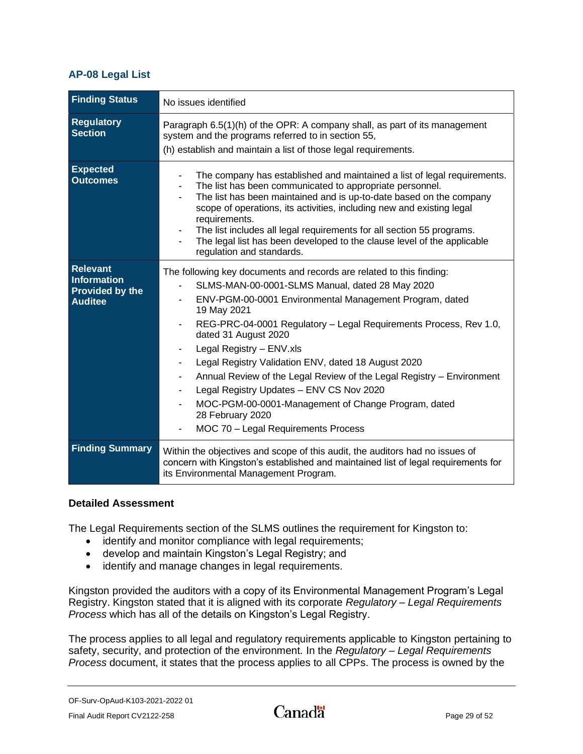### **AP-08 Legal List**

| <b>Finding Status</b>                                                             | No issues identified                                                                                                                                                                                                                                                                                                                                                                                                                                                                                                                                                                                                     |
|-----------------------------------------------------------------------------------|--------------------------------------------------------------------------------------------------------------------------------------------------------------------------------------------------------------------------------------------------------------------------------------------------------------------------------------------------------------------------------------------------------------------------------------------------------------------------------------------------------------------------------------------------------------------------------------------------------------------------|
| <b>Regulatory</b><br><b>Section</b>                                               | Paragraph 6.5(1)(h) of the OPR: A company shall, as part of its management<br>system and the programs referred to in section 55,<br>(h) establish and maintain a list of those legal requirements.                                                                                                                                                                                                                                                                                                                                                                                                                       |
| <b>Expected</b><br><b>Outcomes</b>                                                | The company has established and maintained a list of legal requirements.<br>The list has been communicated to appropriate personnel.<br>The list has been maintained and is up-to-date based on the company<br>scope of operations, its activities, including new and existing legal<br>requirements.<br>The list includes all legal requirements for all section 55 programs.<br>The legal list has been developed to the clause level of the applicable<br>regulation and standards.                                                                                                                                   |
| <b>Relevant</b><br><b>Information</b><br><b>Provided by the</b><br><b>Auditee</b> | The following key documents and records are related to this finding:<br>SLMS-MAN-00-0001-SLMS Manual, dated 28 May 2020<br>ENV-PGM-00-0001 Environmental Management Program, dated<br>19 May 2021<br>REG-PRC-04-0001 Regulatory - Legal Requirements Process, Rev 1.0,<br>dated 31 August 2020<br>Legal Registry - ENV.xls<br>Legal Registry Validation ENV, dated 18 August 2020<br>Annual Review of the Legal Review of the Legal Registry - Environment<br>Legal Registry Updates - ENV CS Nov 2020<br>MOC-PGM-00-0001-Management of Change Program, dated<br>28 February 2020<br>MOC 70 - Legal Requirements Process |
| <b>Finding Summary</b>                                                            | Within the objectives and scope of this audit, the auditors had no issues of<br>concern with Kingston's established and maintained list of legal requirements for<br>its Environmental Management Program.                                                                                                                                                                                                                                                                                                                                                                                                               |

#### **Detailed Assessment**

The Legal Requirements section of the SLMS outlines the requirement for Kingston to:

- identify and monitor compliance with legal requirements;
- develop and maintain Kingston's Legal Registry; and
- identify and manage changes in legal requirements.

Kingston provided the auditors with a copy of its Environmental Management Program's Legal Registry. Kingston stated that it is aligned with its corporate *Regulatory – Legal Requirements Process* which has all of the details on Kingston's Legal Registry.

The process applies to all legal and regulatory requirements applicable to Kingston pertaining to safety, security, and protection of the environment. In the *Regulatory – Legal Requirements Process* document, it states that the process applies to all CPPs. The process is owned by the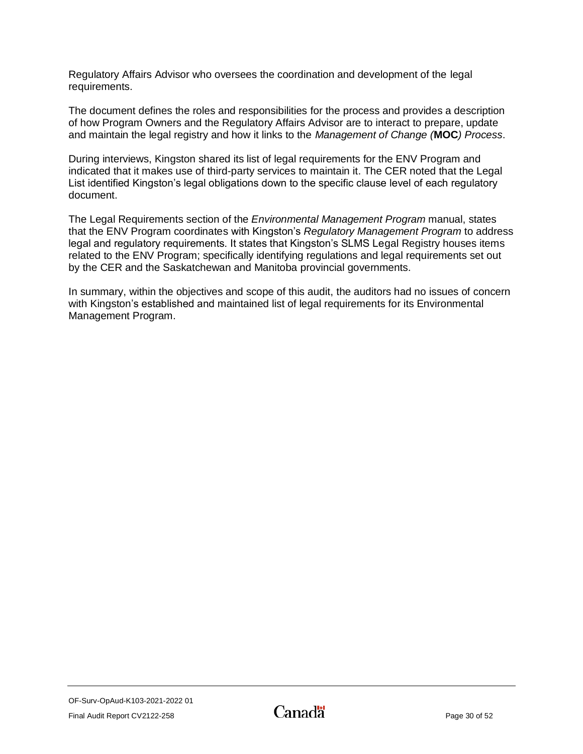Regulatory Affairs Advisor who oversees the coordination and development of the legal requirements.

The document defines the roles and responsibilities for the process and provides a description of how Program Owners and the Regulatory Affairs Advisor are to interact to prepare, update and maintain the legal registry and how it links to the *Management of Change (***MOC***) Process*.

During interviews, Kingston shared its list of legal requirements for the ENV Program and indicated that it makes use of third-party services to maintain it. The CER noted that the Legal List identified Kingston's legal obligations down to the specific clause level of each regulatory document.

The Legal Requirements section of the *Environmental Management Program* manual, states that the ENV Program coordinates with Kingston's *Regulatory Management Program* to address legal and regulatory requirements. It states that Kingston's SLMS Legal Registry houses items related to the ENV Program; specifically identifying regulations and legal requirements set out by the CER and the Saskatchewan and Manitoba provincial governments.

In summary, within the objectives and scope of this audit, the auditors had no issues of concern with Kingston's established and maintained list of legal requirements for its Environmental Management Program.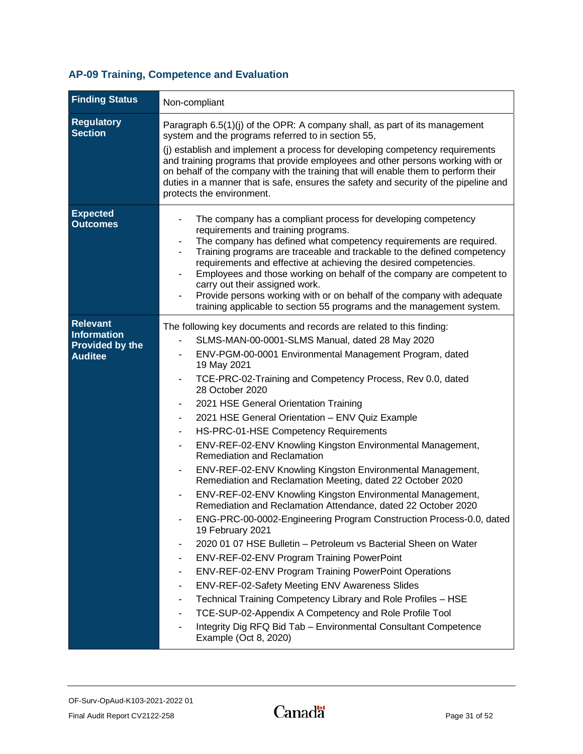## <span id="page-32-0"></span>**AP-09 Training, Competence and Evaluation**

| <b>Finding Status</b>                                                      | Non-compliant                                                                                                                                                                                                                                                                                                                                                                                                                                                                                                                                                                                                                                                                                                                                                                                                                                                                                                                                                                                                                                                                                                                                                                                                                                                                                                                                                                                           |
|----------------------------------------------------------------------------|---------------------------------------------------------------------------------------------------------------------------------------------------------------------------------------------------------------------------------------------------------------------------------------------------------------------------------------------------------------------------------------------------------------------------------------------------------------------------------------------------------------------------------------------------------------------------------------------------------------------------------------------------------------------------------------------------------------------------------------------------------------------------------------------------------------------------------------------------------------------------------------------------------------------------------------------------------------------------------------------------------------------------------------------------------------------------------------------------------------------------------------------------------------------------------------------------------------------------------------------------------------------------------------------------------------------------------------------------------------------------------------------------------|
| <b>Regulatory</b><br><b>Section</b>                                        | Paragraph 6.5(1)(j) of the OPR: A company shall, as part of its management<br>system and the programs referred to in section 55,<br>(i) establish and implement a process for developing competency requirements<br>and training programs that provide employees and other persons working with or<br>on behalf of the company with the training that will enable them to perform their<br>duties in a manner that is safe, ensures the safety and security of the pipeline and<br>protects the environment.                                                                                                                                                                                                                                                                                                                                                                                                                                                                                                                                                                                                                                                                                                                                                                                                                                                                                            |
| <b>Expected</b><br><b>Outcomes</b>                                         | The company has a compliant process for developing competency<br>requirements and training programs.<br>The company has defined what competency requirements are required.<br>Training programs are traceable and trackable to the defined competency<br>requirements and effective at achieving the desired competencies.<br>Employees and those working on behalf of the company are competent to<br>carry out their assigned work.<br>Provide persons working with or on behalf of the company with adequate<br>training applicable to section 55 programs and the management system.                                                                                                                                                                                                                                                                                                                                                                                                                                                                                                                                                                                                                                                                                                                                                                                                                |
| <b>Relevant</b><br>Information<br><b>Provided by the</b><br><b>Auditee</b> | The following key documents and records are related to this finding:<br>SLMS-MAN-00-0001-SLMS Manual, dated 28 May 2020<br>ENV-PGM-00-0001 Environmental Management Program, dated<br>19 May 2021<br>TCE-PRC-02-Training and Competency Process, Rev 0.0, dated<br>28 October 2020<br>2021 HSE General Orientation Training<br>2021 HSE General Orientation - ENV Quiz Example<br>HS-PRC-01-HSE Competency Requirements<br>ENV-REF-02-ENV Knowling Kingston Environmental Management,<br>Remediation and Reclamation<br>ENV-REF-02-ENV Knowling Kingston Environmental Management,<br>Remediation and Reclamation Meeting, dated 22 October 2020<br>ENV-REF-02-ENV Knowling Kingston Environmental Management,<br>Remediation and Reclamation Attendance, dated 22 October 2020<br>ENG-PRC-00-0002-Engineering Program Construction Process-0.0, dated<br>$\overline{\phantom{a}}$<br>19 February 2021<br>2020 01 07 HSE Bulletin - Petroleum vs Bacterial Sheen on Water<br>ENV-REF-02-ENV Program Training PowerPoint<br>ENV-REF-02-ENV Program Training PowerPoint Operations<br>ENV-REF-02-Safety Meeting ENV Awareness Slides<br>$\blacksquare$<br>Technical Training Competency Library and Role Profiles - HSE<br>TCE-SUP-02-Appendix A Competency and Role Profile Tool<br>Integrity Dig RFQ Bid Tab - Environmental Consultant Competence<br>$\overline{\phantom{a}}$<br>Example (Oct 8, 2020) |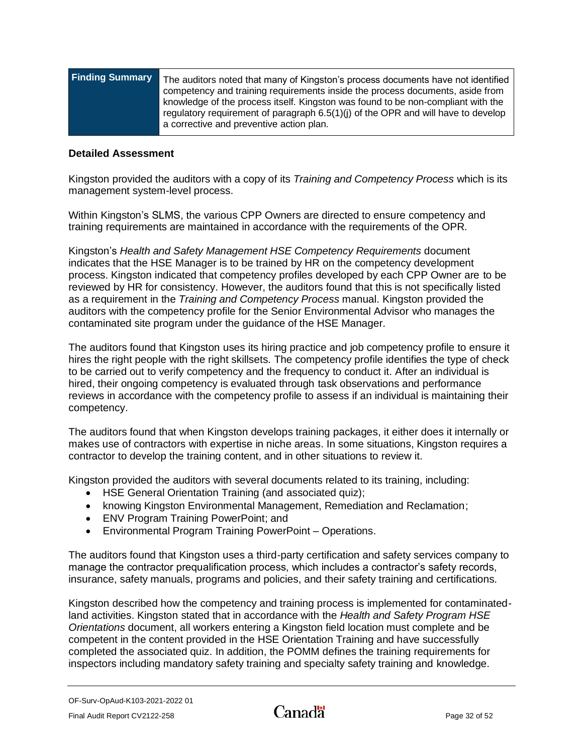| competency and training requirements inside the process documents, aside from<br>knowledge of the process itself. Kingston was found to be non-compliant with the<br>regulatory requirement of paragraph 6.5(1)(j) of the OPR and will have to develop |  |
|--------------------------------------------------------------------------------------------------------------------------------------------------------------------------------------------------------------------------------------------------------|--|
| a corrective and preventive action plan.                                                                                                                                                                                                               |  |
|                                                                                                                                                                                                                                                        |  |

#### **Detailed Assessment**

Kingston provided the auditors with a copy of its *Training and Competency Process* which is its management system-level process.

Within Kingston's SLMS, the various CPP Owners are directed to ensure competency and training requirements are maintained in accordance with the requirements of the OPR.

Kingston's *Health and Safety Management HSE Competency Requirements* document indicates that the HSE Manager is to be trained by HR on the competency development process. Kingston indicated that competency profiles developed by each CPP Owner are to be reviewed by HR for consistency. However, the auditors found that this is not specifically listed as a requirement in the *Training and Competency Process* manual. Kingston provided the auditors with the competency profile for the Senior Environmental Advisor who manages the contaminated site program under the guidance of the HSE Manager.

The auditors found that Kingston uses its hiring practice and job competency profile to ensure it hires the right people with the right skillsets. The competency profile identifies the type of check to be carried out to verify competency and the frequency to conduct it. After an individual is hired, their ongoing competency is evaluated through task observations and performance reviews in accordance with the competency profile to assess if an individual is maintaining their competency.

The auditors found that when Kingston develops training packages, it either does it internally or makes use of contractors with expertise in niche areas. In some situations, Kingston requires a contractor to develop the training content, and in other situations to review it.

Kingston provided the auditors with several documents related to its training, including:

- HSE General Orientation Training (and associated quiz);
- knowing Kingston Environmental Management, Remediation and Reclamation;
- ENV Program Training PowerPoint; and
- Environmental Program Training PowerPoint Operations.

The auditors found that Kingston uses a third-party certification and safety services company to manage the contractor prequalification process, which includes a contractor's safety records, insurance, safety manuals, programs and policies, and their safety training and certifications.

Kingston described how the competency and training process is implemented for contaminatedland activities. Kingston stated that in accordance with the *Health and Safety Program HSE Orientations* document, all workers entering a Kingston field location must complete and be competent in the content provided in the HSE Orientation Training and have successfully completed the associated quiz. In addition, the POMM defines the training requirements for inspectors including mandatory safety training and specialty safety training and knowledge.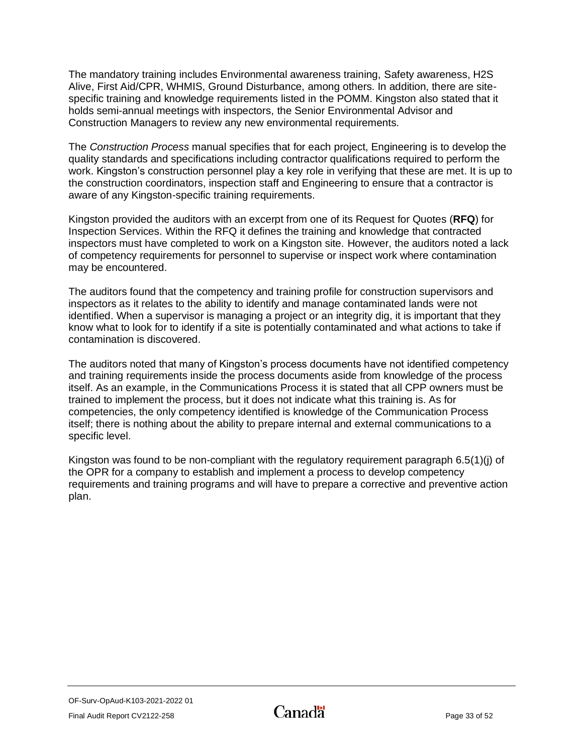The mandatory training includes Environmental awareness training, Safety awareness, H2S Alive, First Aid/CPR, WHMIS, Ground Disturbance, among others. In addition, there are sitespecific training and knowledge requirements listed in the POMM. Kingston also stated that it holds semi-annual meetings with inspectors, the Senior Environmental Advisor and Construction Managers to review any new environmental requirements.

The *Construction Process* manual specifies that for each project, Engineering is to develop the quality standards and specifications including contractor qualifications required to perform the work. Kingston's construction personnel play a key role in verifying that these are met. It is up to the construction coordinators, inspection staff and Engineering to ensure that a contractor is aware of any Kingston-specific training requirements.

Kingston provided the auditors with an excerpt from one of its Request for Quotes (**RFQ**) for Inspection Services. Within the RFQ it defines the training and knowledge that contracted inspectors must have completed to work on a Kingston site. However, the auditors noted a lack of competency requirements for personnel to supervise or inspect work where contamination may be encountered.

The auditors found that the competency and training profile for construction supervisors and inspectors as it relates to the ability to identify and manage contaminated lands were not identified. When a supervisor is managing a project or an integrity dig, it is important that they know what to look for to identify if a site is potentially contaminated and what actions to take if contamination is discovered.

The auditors noted that many of Kingston's process documents have not identified competency and training requirements inside the process documents aside from knowledge of the process itself. As an example, in the Communications Process it is stated that all CPP owners must be trained to implement the process, but it does not indicate what this training is. As for competencies, the only competency identified is knowledge of the Communication Process itself; there is nothing about the ability to prepare internal and external communications to a specific level.

<span id="page-34-0"></span>Kingston was found to be non-compliant with the regulatory requirement paragraph 6.5(1)(j) of the OPR for a company to establish and implement a process to develop competency requirements and training programs and will have to prepare a corrective and preventive action plan.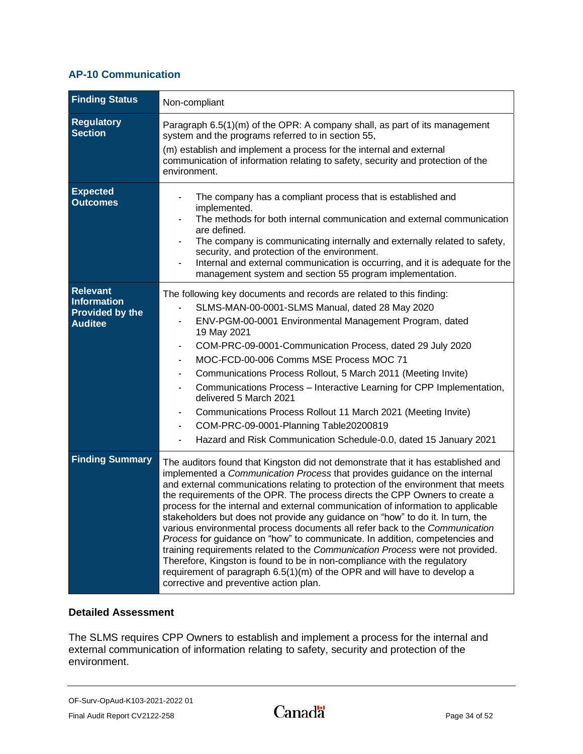### **AP-10 Communication**

| <b>Finding Status</b>                                                             | Non-compliant                                                                                                                                                                                                                                                                                                                                                                                                                                                                                                                                                                                                                                                                                                                                                                                                                                                                                                                                            |
|-----------------------------------------------------------------------------------|----------------------------------------------------------------------------------------------------------------------------------------------------------------------------------------------------------------------------------------------------------------------------------------------------------------------------------------------------------------------------------------------------------------------------------------------------------------------------------------------------------------------------------------------------------------------------------------------------------------------------------------------------------------------------------------------------------------------------------------------------------------------------------------------------------------------------------------------------------------------------------------------------------------------------------------------------------|
| <b>Regulatory</b><br><b>Section</b>                                               | Paragraph 6.5(1)(m) of the OPR: A company shall, as part of its management<br>system and the programs referred to in section 55,<br>(m) establish and implement a process for the internal and external<br>communication of information relating to safety, security and protection of the<br>environment.                                                                                                                                                                                                                                                                                                                                                                                                                                                                                                                                                                                                                                               |
| <b>Expected</b><br><b>Outcomes</b>                                                | The company has a compliant process that is established and<br>implemented.<br>The methods for both internal communication and external communication<br>are defined.<br>The company is communicating internally and externally related to safety,<br>security, and protection of the environment.<br>Internal and external communication is occurring, and it is adequate for the<br>management system and section 55 program implementation.                                                                                                                                                                                                                                                                                                                                                                                                                                                                                                           |
| <b>Relevant</b><br><b>Information</b><br><b>Provided by the</b><br><b>Auditee</b> | The following key documents and records are related to this finding:<br>SLMS-MAN-00-0001-SLMS Manual, dated 28 May 2020<br>ENV-PGM-00-0001 Environmental Management Program, dated<br>19 May 2021<br>COM-PRC-09-0001-Communication Process, dated 29 July 2020<br>MOC-FCD-00-006 Comms MSE Process MOC 71<br>Communications Process Rollout, 5 March 2011 (Meeting Invite)<br>Communications Process - Interactive Learning for CPP Implementation,<br>delivered 5 March 2021<br>Communications Process Rollout 11 March 2021 (Meeting Invite)<br>COM-PRC-09-0001-Planning Table20200819<br>Hazard and Risk Communication Schedule-0.0, dated 15 January 2021                                                                                                                                                                                                                                                                                            |
| <b>Finding Summary</b>                                                            | The auditors found that Kingston did not demonstrate that it has established and<br>implemented a Communication Process that provides guidance on the internal<br>and external communications relating to protection of the environment that meets<br>the requirements of the OPR. The process directs the CPP Owners to create a<br>process for the internal and external communication of information to applicable<br>stakeholders but does not provide any guidance on "how" to do it. In turn, the<br>various environmental process documents all refer back to the Communication<br>Process for guidance on "how" to communicate. In addition, competencies and<br>training requirements related to the Communication Process were not provided.<br>Therefore, Kingston is found to be in non-compliance with the regulatory<br>requirement of paragraph 6.5(1)(m) of the OPR and will have to develop a<br>corrective and preventive action plan. |

### **Detailed Assessment**

The SLMS requires CPP Owners to establish and implement a process for the internal and external communication of information relating to safety, security and protection of the environment.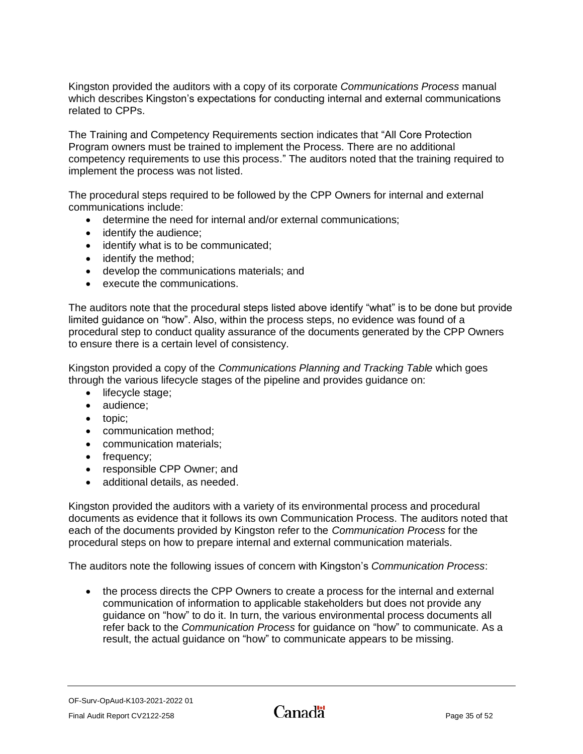Kingston provided the auditors with a copy of its corporate *Communications Process* manual which describes Kingston's expectations for conducting internal and external communications related to CPPs.

The Training and Competency Requirements section indicates that "All Core Protection Program owners must be trained to implement the Process. There are no additional competency requirements to use this process." The auditors noted that the training required to implement the process was not listed.

The procedural steps required to be followed by the CPP Owners for internal and external communications include:

- determine the need for internal and/or external communications;
- identify the audience:
- identify what is to be communicated;
- identify the method:
- develop the communications materials; and
- execute the communications.

The auditors note that the procedural steps listed above identify "what" is to be done but provide limited guidance on "how". Also, within the process steps, no evidence was found of a procedural step to conduct quality assurance of the documents generated by the CPP Owners to ensure there is a certain level of consistency.

Kingston provided a copy of the *Communications Planning and Tracking Table* which goes through the various lifecycle stages of the pipeline and provides guidance on:

- lifecycle stage;
- audience;
- topic;
- communication method;
- communication materials;
- frequency;
- responsible CPP Owner; and
- additional details, as needed.

Kingston provided the auditors with a variety of its environmental process and procedural documents as evidence that it follows its own Communication Process. The auditors noted that each of the documents provided by Kingston refer to the *Communication Process* for the procedural steps on how to prepare internal and external communication materials.

The auditors note the following issues of concern with Kingston's *Communication Process*:

• the process directs the CPP Owners to create a process for the internal and external communication of information to applicable stakeholders but does not provide any guidance on "how" to do it. In turn, the various environmental process documents all refer back to the *Communication Process* for guidance on "how" to communicate. As a result, the actual guidance on "how" to communicate appears to be missing.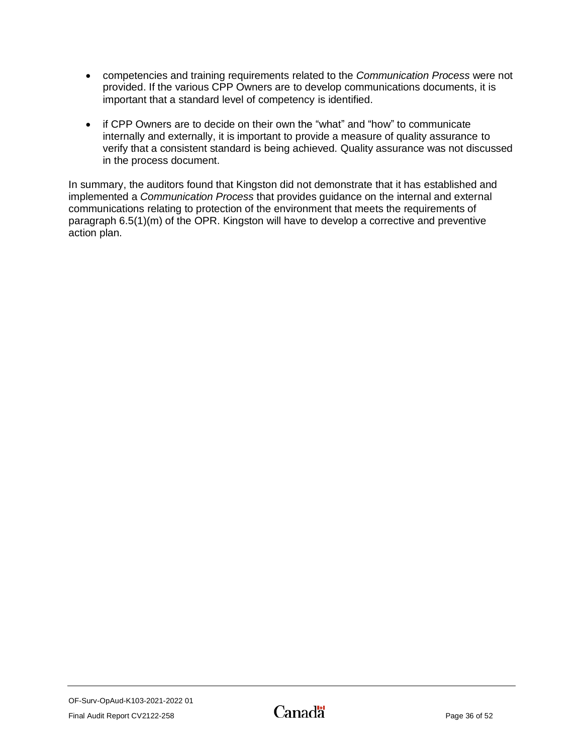- competencies and training requirements related to the *Communication Process* were not provided. If the various CPP Owners are to develop communications documents, it is important that a standard level of competency is identified.
- if CPP Owners are to decide on their own the "what" and "how" to communicate internally and externally, it is important to provide a measure of quality assurance to verify that a consistent standard is being achieved. Quality assurance was not discussed in the process document.

<span id="page-37-0"></span>In summary, the auditors found that Kingston did not demonstrate that it has established and implemented a *Communication Process* that provides guidance on the internal and external communications relating to protection of the environment that meets the requirements of paragraph 6.5(1)(m) of the OPR. Kingston will have to develop a corrective and preventive action plan.

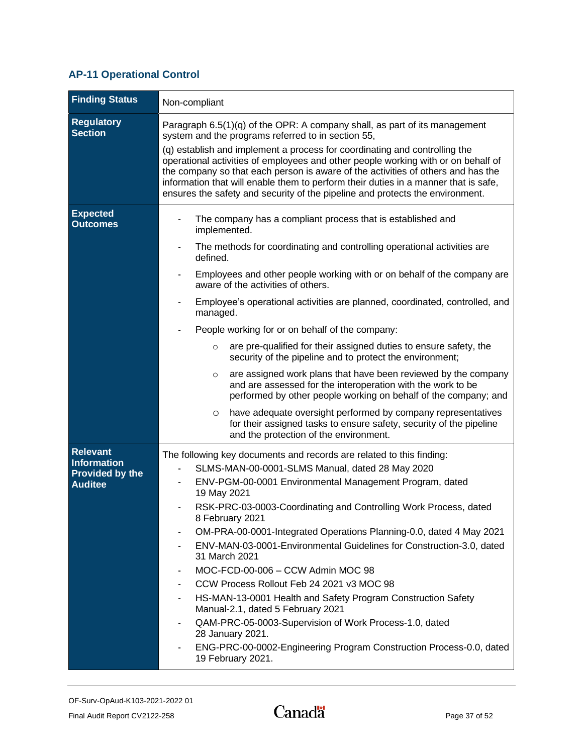## **AP-11 Operational Control**

| <b>Finding Status</b>                                                      | Non-compliant                                                                                                                                                                                                                                                                                                                                                                                                                                                                                                                                                                                                                                                                                                                                                                                                                                                                                                                                                                      |
|----------------------------------------------------------------------------|------------------------------------------------------------------------------------------------------------------------------------------------------------------------------------------------------------------------------------------------------------------------------------------------------------------------------------------------------------------------------------------------------------------------------------------------------------------------------------------------------------------------------------------------------------------------------------------------------------------------------------------------------------------------------------------------------------------------------------------------------------------------------------------------------------------------------------------------------------------------------------------------------------------------------------------------------------------------------------|
| <b>Regulatory</b><br><b>Section</b>                                        | Paragraph 6.5(1)(q) of the OPR: A company shall, as part of its management<br>system and the programs referred to in section 55,<br>(q) establish and implement a process for coordinating and controlling the<br>operational activities of employees and other people working with or on behalf of<br>the company so that each person is aware of the activities of others and has the<br>information that will enable them to perform their duties in a manner that is safe,<br>ensures the safety and security of the pipeline and protects the environment.                                                                                                                                                                                                                                                                                                                                                                                                                    |
| <b>Expected</b><br><b>Outcomes</b>                                         | The company has a compliant process that is established and<br>implemented.<br>The methods for coordinating and controlling operational activities are<br>defined.<br>Employees and other people working with or on behalf of the company are<br>aware of the activities of others.<br>Employee's operational activities are planned, coordinated, controlled, and<br>managed.<br>People working for or on behalf of the company:<br>are pre-qualified for their assigned duties to ensure safety, the<br>$\circ$<br>security of the pipeline and to protect the environment;<br>are assigned work plans that have been reviewed by the company<br>$\circ$<br>and are assessed for the interoperation with the work to be<br>performed by other people working on behalf of the company; and<br>have adequate oversight performed by company representatives<br>O<br>for their assigned tasks to ensure safety, security of the pipeline<br>and the protection of the environment. |
| <b>Relevant</b><br>Information<br><b>Provided by the</b><br><b>Auditee</b> | The following key documents and records are related to this finding:<br>SLMS-MAN-00-0001-SLMS Manual, dated 28 May 2020<br>ENV-PGM-00-0001 Environmental Management Program, dated<br>19 May 2021<br>RSK-PRC-03-0003-Coordinating and Controlling Work Process, dated<br>8 February 2021<br>OM-PRA-00-0001-Integrated Operations Planning-0.0, dated 4 May 2021<br>ENV-MAN-03-0001-Environmental Guidelines for Construction-3.0, dated<br>31 March 2021<br>MOC-FCD-00-006 - CCW Admin MOC 98<br>$\overline{\phantom{a}}$<br>CCW Process Rollout Feb 24 2021 v3 MOC 98<br>HS-MAN-13-0001 Health and Safety Program Construction Safety<br>Manual-2.1, dated 5 February 2021<br>QAM-PRC-05-0003-Supervision of Work Process-1.0, dated<br>28 January 2021.<br>ENG-PRC-00-0002-Engineering Program Construction Process-0.0, dated<br>19 February 2021.                                                                                                                              |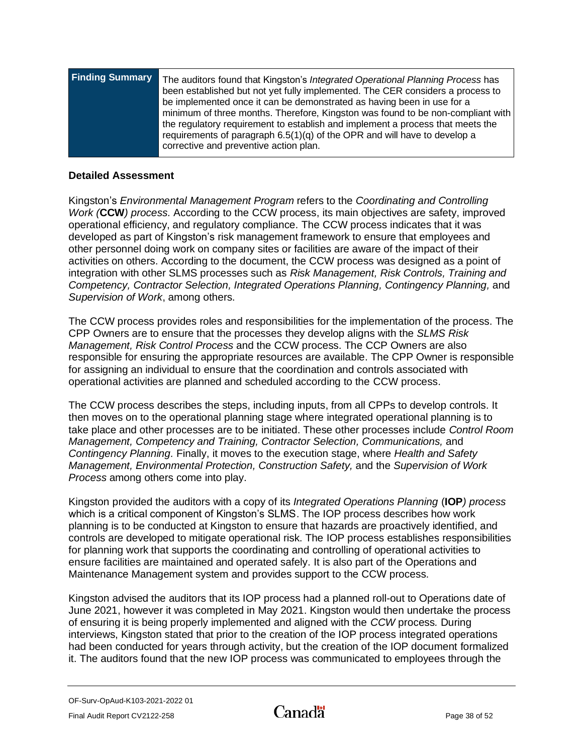| <b>Finding Summary</b> | The auditors found that Kingston's Integrated Operational Planning Process has<br>been established but not yet fully implemented. The CER considers a process to<br>be implemented once it can be demonstrated as having been in use for a<br>minimum of three months. Therefore, Kingston was found to be non-compliant with |
|------------------------|-------------------------------------------------------------------------------------------------------------------------------------------------------------------------------------------------------------------------------------------------------------------------------------------------------------------------------|
|                        | the regulatory requirement to establish and implement a process that meets the<br>requirements of paragraph $6.5(1)(q)$ of the OPR and will have to develop a<br>corrective and preventive action plan.                                                                                                                       |

#### **Detailed Assessment**

Kingston's *Environmental Management Program* refers to the *Coordinating and Controlling Work (***CCW***) process.* According to the CCW process, its main objectives are safety, improved operational efficiency, and regulatory compliance. The CCW process indicates that it was developed as part of Kingston's risk management framework to ensure that employees and other personnel doing work on company sites or facilities are aware of the impact of their activities on others. According to the document, the CCW process was designed as a point of integration with other SLMS processes such as *Risk Management, Risk Controls, Training and Competency, Contractor Selection, Integrated Operations Planning, Contingency Planning,* and *Supervision of Work*, among others.

The CCW process provides roles and responsibilities for the implementation of the process. The CPP Owners are to ensure that the processes they develop aligns with the *SLMS Risk Management, Risk Control Process* and the CCW process. The CCP Owners are also responsible for ensuring the appropriate resources are available. The CPP Owner is responsible for assigning an individual to ensure that the coordination and controls associated with operational activities are planned and scheduled according to the CCW process.

The CCW process describes the steps, including inputs, from all CPPs to develop controls. It then moves on to the operational planning stage where integrated operational planning is to take place and other processes are to be initiated. These other processes include *Control Room Management, Competency and Training, Contractor Selection, Communications,* and *Contingency Planning.* Finally, it moves to the execution stage, where *Health and Safety Management, Environmental Protection, Construction Safety,* and the *Supervision of Work Process* among others come into play.

Kingston provided the auditors with a copy of its *Integrated Operations Planning* (**IOP***) process* which is a critical component of Kingston's SLMS. The IOP process describes how work planning is to be conducted at Kingston to ensure that hazards are proactively identified, and controls are developed to mitigate operational risk. The IOP process establishes responsibilities for planning work that supports the coordinating and controlling of operational activities to ensure facilities are maintained and operated safely. It is also part of the Operations and Maintenance Management system and provides support to the CCW process.

Kingston advised the auditors that its IOP process had a planned roll-out to Operations date of June 2021, however it was completed in May 2021. Kingston would then undertake the process of ensuring it is being properly implemented and aligned with the *CCW* process*.* During interviews, Kingston stated that prior to the creation of the IOP process integrated operations had been conducted for years through activity, but the creation of the IOP document formalized it. The auditors found that the new IOP process was communicated to employees through the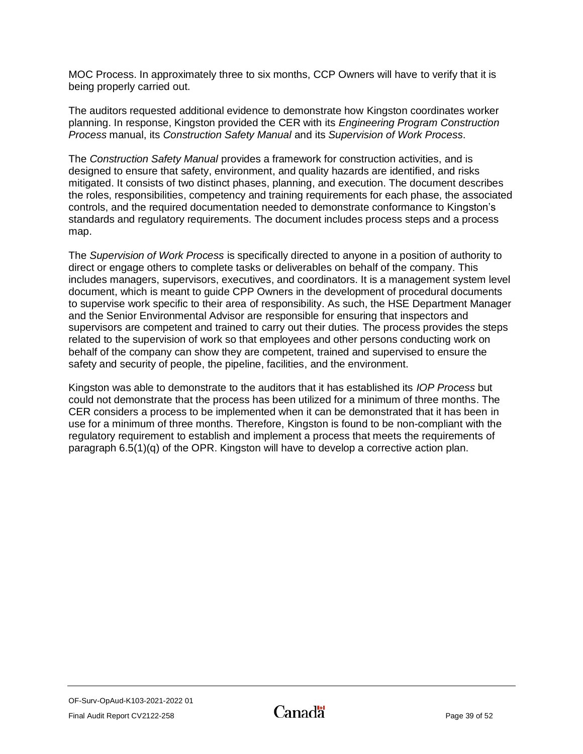MOC Process. In approximately three to six months, CCP Owners will have to verify that it is being properly carried out.

The auditors requested additional evidence to demonstrate how Kingston coordinates worker planning. In response, Kingston provided the CER with its *Engineering Program Construction Process* manual, its *Construction Safety Manual* and its *Supervision of Work Process*.

The *Construction Safety Manual* provides a framework for construction activities, and is designed to ensure that safety, environment, and quality hazards are identified, and risks mitigated. It consists of two distinct phases, planning, and execution. The document describes the roles, responsibilities, competency and training requirements for each phase, the associated controls, and the required documentation needed to demonstrate conformance to Kingston's standards and regulatory requirements. The document includes process steps and a process map.

The *Supervision of Work Process* is specifically directed to anyone in a position of authority to direct or engage others to complete tasks or deliverables on behalf of the company. This includes managers, supervisors, executives, and coordinators. It is a management system level document, which is meant to guide CPP Owners in the development of procedural documents to supervise work specific to their area of responsibility. As such, the HSE Department Manager and the Senior Environmental Advisor are responsible for ensuring that inspectors and supervisors are competent and trained to carry out their duties. The process provides the steps related to the supervision of work so that employees and other persons conducting work on behalf of the company can show they are competent, trained and supervised to ensure the safety and security of people, the pipeline, facilities, and the environment.

<span id="page-40-0"></span>Kingston was able to demonstrate to the auditors that it has established its *IOP Process* but could not demonstrate that the process has been utilized for a minimum of three months. The CER considers a process to be implemented when it can be demonstrated that it has been in use for a minimum of three months. Therefore, Kingston is found to be non-compliant with the regulatory requirement to establish and implement a process that meets the requirements of paragraph  $6.5(1)(q)$  of the OPR. Kingston will have to develop a corrective action plan.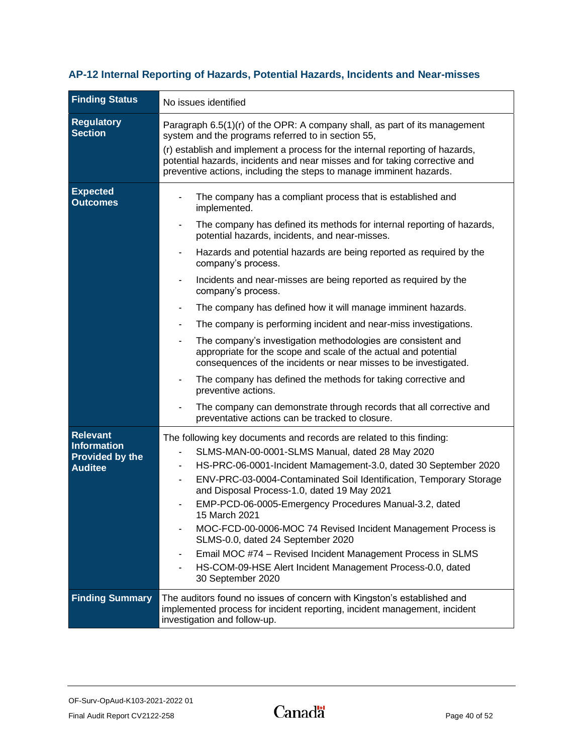## **AP-12 Internal Reporting of Hazards, Potential Hazards, Incidents and Near-misses**

| <b>Finding Status</b>                                                             | No issues identified                                                                                                                                                                                                                                                                                                                                                                                                                                                                                                                                                                                                                                                                                                                                                                                                                                                                                                                                                         |
|-----------------------------------------------------------------------------------|------------------------------------------------------------------------------------------------------------------------------------------------------------------------------------------------------------------------------------------------------------------------------------------------------------------------------------------------------------------------------------------------------------------------------------------------------------------------------------------------------------------------------------------------------------------------------------------------------------------------------------------------------------------------------------------------------------------------------------------------------------------------------------------------------------------------------------------------------------------------------------------------------------------------------------------------------------------------------|
| <b>Regulatory</b><br><b>Section</b>                                               | Paragraph 6.5(1)(r) of the OPR: A company shall, as part of its management<br>system and the programs referred to in section 55,<br>(r) establish and implement a process for the internal reporting of hazards,<br>potential hazards, incidents and near misses and for taking corrective and<br>preventive actions, including the steps to manage imminent hazards.                                                                                                                                                                                                                                                                                                                                                                                                                                                                                                                                                                                                        |
| <b>Expected</b><br><b>Outcomes</b>                                                | The company has a compliant process that is established and<br>implemented.<br>The company has defined its methods for internal reporting of hazards,<br>potential hazards, incidents, and near-misses.<br>Hazards and potential hazards are being reported as required by the<br>company's process.<br>Incidents and near-misses are being reported as required by the<br>company's process.<br>The company has defined how it will manage imminent hazards.<br>The company is performing incident and near-miss investigations.<br>The company's investigation methodologies are consistent and<br>$\blacksquare$<br>appropriate for the scope and scale of the actual and potential<br>consequences of the incidents or near misses to be investigated.<br>The company has defined the methods for taking corrective and<br>preventive actions.<br>The company can demonstrate through records that all corrective and<br>preventative actions can be tracked to closure. |
| <b>Relevant</b><br><b>Information</b><br><b>Provided by the</b><br><b>Auditee</b> | The following key documents and records are related to this finding:<br>SLMS-MAN-00-0001-SLMS Manual, dated 28 May 2020<br>HS-PRC-06-0001-Incident Mamagement-3.0, dated 30 September 2020<br>$\overline{\phantom{a}}$<br>ENV-PRC-03-0004-Contaminated Soil Identification, Temporary Storage<br>and Disposal Process-1.0, dated 19 May 2021<br>EMP-PCD-06-0005-Emergency Procedures Manual-3.2, dated<br>15 March 2021<br>MOC-FCD-00-0006-MOC 74 Revised Incident Management Process is<br>$\overline{\phantom{a}}$<br>SLMS-0.0, dated 24 September 2020<br>Email MOC #74 - Revised Incident Management Process in SLMS<br>HS-COM-09-HSE Alert Incident Management Process-0.0, dated<br>30 September 2020                                                                                                                                                                                                                                                                  |
| <b>Finding Summary</b>                                                            | The auditors found no issues of concern with Kingston's established and<br>implemented process for incident reporting, incident management, incident<br>investigation and follow-up.                                                                                                                                                                                                                                                                                                                                                                                                                                                                                                                                                                                                                                                                                                                                                                                         |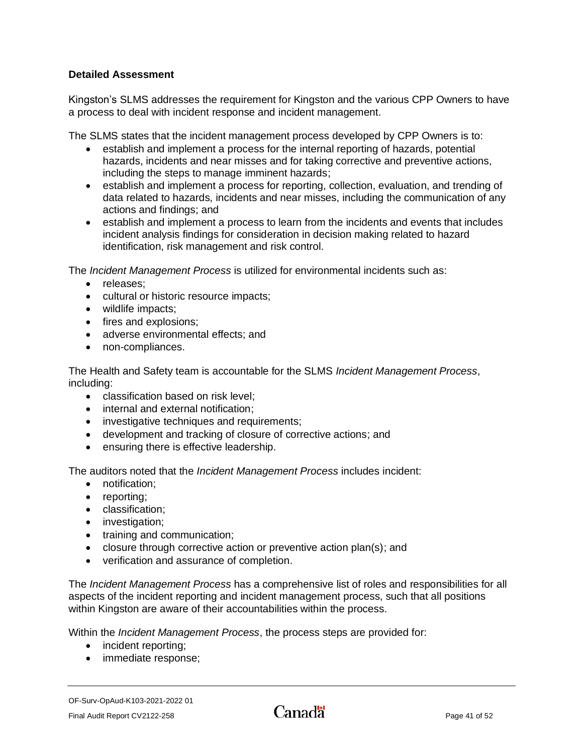## **Detailed Assessment**

Kingston's SLMS addresses the requirement for Kingston and the various CPP Owners to have a process to deal with incident response and incident management.

The SLMS states that the incident management process developed by CPP Owners is to:

- establish and implement a process for the internal reporting of hazards, potential hazards, incidents and near misses and for taking corrective and preventive actions, including the steps to manage imminent hazards;
- establish and implement a process for reporting, collection, evaluation, and trending of data related to hazards, incidents and near misses, including the communication of any actions and findings; and
- establish and implement a process to learn from the incidents and events that includes incident analysis findings for consideration in decision making related to hazard identification, risk management and risk control.

The *Incident Management Process* is utilized for environmental incidents such as:

- releases;
- cultural or historic resource impacts;
- wildlife impacts;
- fires and explosions;
- adverse environmental effects; and
- non-compliances.

The Health and Safety team is accountable for the SLMS *Incident Management Process*, including:

- classification based on risk level:
- internal and external notification;
- investigative techniques and requirements;
- development and tracking of closure of corrective actions; and
- ensuring there is effective leadership.

The auditors noted that the *Incident Management Process* includes incident:

- notification;
- reporting;
- classification;
- investigation;
- training and communication;
- closure through corrective action or preventive action plan(s); and
- verification and assurance of completion.

The *Incident Management Process* has a comprehensive list of roles and responsibilities for all aspects of the incident reporting and incident management process, such that all positions within Kingston are aware of their accountabilities within the process.

Within the *Incident Management Process*, the process steps are provided for:

- incident reporting;
- immediate response;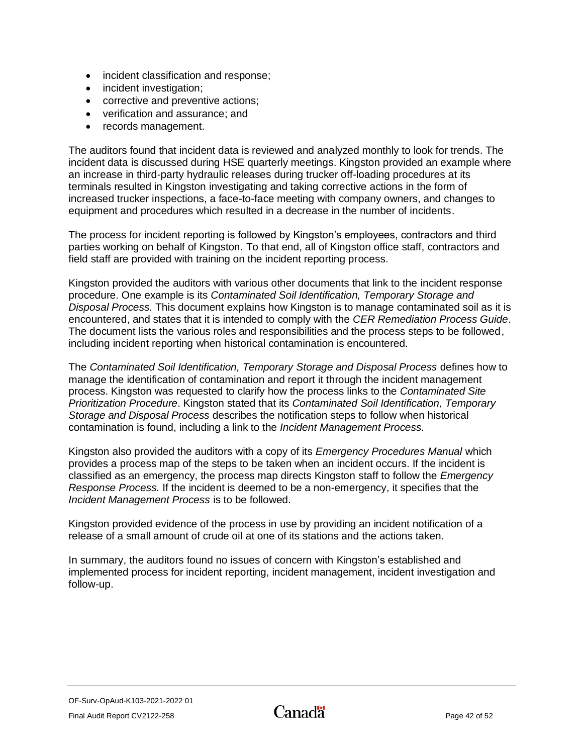- incident classification and response;
- incident investigation;
- corrective and preventive actions;
- verification and assurance; and
- records management.

The auditors found that incident data is reviewed and analyzed monthly to look for trends. The incident data is discussed during HSE quarterly meetings. Kingston provided an example where an increase in third-party hydraulic releases during trucker off-loading procedures at its terminals resulted in Kingston investigating and taking corrective actions in the form of increased trucker inspections, a face-to-face meeting with company owners, and changes to equipment and procedures which resulted in a decrease in the number of incidents.

The process for incident reporting is followed by Kingston's employees, contractors and third parties working on behalf of Kingston. To that end, all of Kingston office staff, contractors and field staff are provided with training on the incident reporting process.

Kingston provided the auditors with various other documents that link to the incident response procedure. One example is its *Contaminated Soil Identification, Temporary Storage and Disposal Process.* This document explains how Kingston is to manage contaminated soil as it is encountered, and states that it is intended to comply with the *CER Remediation Process Guide*. The document lists the various roles and responsibilities and the process steps to be followed, including incident reporting when historical contamination is encountered.

The *Contaminated Soil Identification, Temporary Storage and Disposal Process* defines how to manage the identification of contamination and report it through the incident management process. Kingston was requested to clarify how the process links to the *Contaminated Site Prioritization Procedure*. Kingston stated that its *Contaminated Soil Identification, Temporary Storage and Disposal Process* describes the notification steps to follow when historical contamination is found, including a link to the *Incident Management Process.*

Kingston also provided the auditors with a copy of its *Emergency Procedures Manual* which provides a process map of the steps to be taken when an incident occurs. If the incident is classified as an emergency, the process map directs Kingston staff to follow the *Emergency Response Process.* If the incident is deemed to be a non-emergency, it specifies that the *Incident Management Process* is to be followed.

Kingston provided evidence of the process in use by providing an incident notification of a release of a small amount of crude oil at one of its stations and the actions taken.

In summary, the auditors found no issues of concern with Kingston's established and implemented process for incident reporting, incident management, incident investigation and follow-up.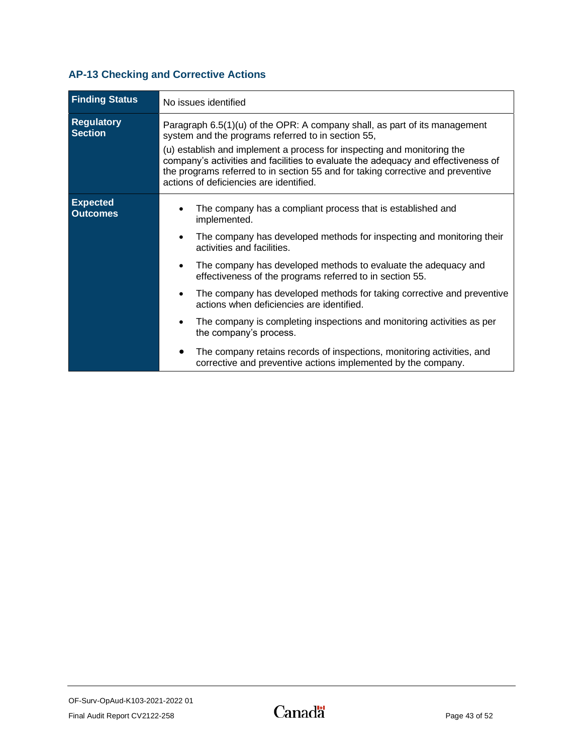## <span id="page-44-0"></span>**AP-13 Checking and Corrective Actions**

| <b>Finding Status</b>               | No issues identified                                                                                                                                                                                                                                                                       |
|-------------------------------------|--------------------------------------------------------------------------------------------------------------------------------------------------------------------------------------------------------------------------------------------------------------------------------------------|
| <b>Regulatory</b><br><b>Section</b> | Paragraph 6.5(1)(u) of the OPR: A company shall, as part of its management<br>system and the programs referred to in section 55,                                                                                                                                                           |
|                                     | (u) establish and implement a process for inspecting and monitoring the<br>company's activities and facilities to evaluate the adequacy and effectiveness of<br>the programs referred to in section 55 and for taking corrective and preventive<br>actions of deficiencies are identified. |
| <b>Expected</b><br><b>Outcomes</b>  | The company has a compliant process that is established and<br>implemented.                                                                                                                                                                                                                |
|                                     | The company has developed methods for inspecting and monitoring their<br>activities and facilities.                                                                                                                                                                                        |
|                                     | The company has developed methods to evaluate the adequacy and<br>effectiveness of the programs referred to in section 55.                                                                                                                                                                 |
|                                     | The company has developed methods for taking corrective and preventive<br>actions when deficiencies are identified.                                                                                                                                                                        |
|                                     | The company is completing inspections and monitoring activities as per<br>the company's process.                                                                                                                                                                                           |
|                                     | The company retains records of inspections, monitoring activities, and<br>corrective and preventive actions implemented by the company.                                                                                                                                                    |

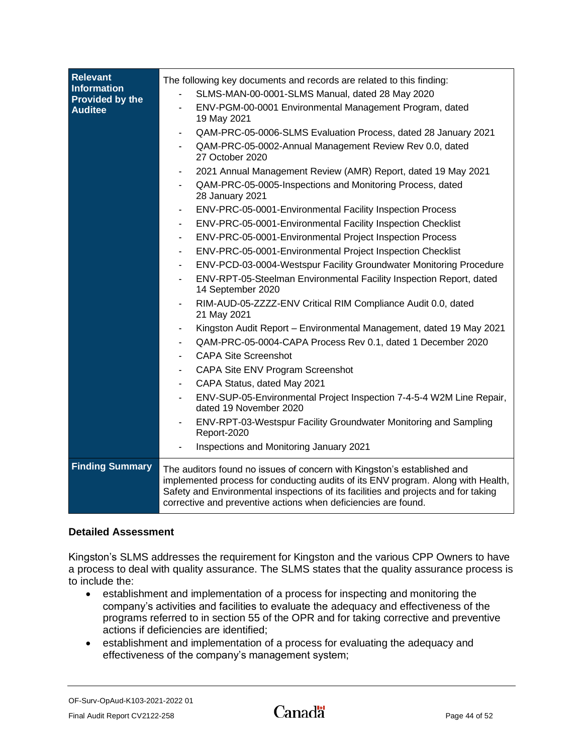| <b>Relevant</b><br><b>Information</b><br>Provided by the<br><b>Auditee</b> | The following key documents and records are related to this finding:<br>SLMS-MAN-00-0001-SLMS Manual, dated 28 May 2020<br>ENV-PGM-00-0001 Environmental Management Program, dated<br>19 May 2021<br>QAM-PRC-05-0006-SLMS Evaluation Process, dated 28 January 2021<br>QAM-PRC-05-0002-Annual Management Review Rev 0.0, dated<br>27 October 2020<br>2021 Annual Management Review (AMR) Report, dated 19 May 2021<br>QAM-PRC-05-0005-Inspections and Monitoring Process, dated<br>28 January 2021<br>ENV-PRC-05-0001-Environmental Facility Inspection Process<br>ENV-PRC-05-0001-Environmental Facility Inspection Checklist<br>ENV-PRC-05-0001-Environmental Project Inspection Process<br>$\blacksquare$<br>ENV-PRC-05-0001-Environmental Project Inspection Checklist<br>ENV-PCD-03-0004-Westspur Facility Groundwater Monitoring Procedure<br>ENV-RPT-05-Steelman Environmental Facility Inspection Report, dated<br>14 September 2020<br>RIM-AUD-05-ZZZZ-ENV Critical RIM Compliance Audit 0.0, dated |
|----------------------------------------------------------------------------|--------------------------------------------------------------------------------------------------------------------------------------------------------------------------------------------------------------------------------------------------------------------------------------------------------------------------------------------------------------------------------------------------------------------------------------------------------------------------------------------------------------------------------------------------------------------------------------------------------------------------------------------------------------------------------------------------------------------------------------------------------------------------------------------------------------------------------------------------------------------------------------------------------------------------------------------------------------------------------------------------------------|
|                                                                            | Kingston Audit Report - Environmental Management, dated 19 May 2021<br>QAM-PRC-05-0004-CAPA Process Rev 0.1, dated 1 December 2020<br><b>CAPA Site Screenshot</b><br>CAPA Site ENV Program Screenshot<br>CAPA Status, dated May 2021<br>ENV-SUP-05-Environmental Project Inspection 7-4-5-4 W2M Line Repair,<br>dated 19 November 2020<br>ENV-RPT-03-Westspur Facility Groundwater Monitoring and Sampling<br>Report-2020                                                                                                                                                                                                                                                                                                                                                                                                                                                                                                                                                                                    |
|                                                                            | Inspections and Monitoring January 2021                                                                                                                                                                                                                                                                                                                                                                                                                                                                                                                                                                                                                                                                                                                                                                                                                                                                                                                                                                      |
| <b>Finding Summary</b>                                                     | The auditors found no issues of concern with Kingston's established and<br>implemented process for conducting audits of its ENV program. Along with Health,<br>Safety and Environmental inspections of its facilities and projects and for taking<br>corrective and preventive actions when deficiencies are found.                                                                                                                                                                                                                                                                                                                                                                                                                                                                                                                                                                                                                                                                                          |

## **Detailed Assessment**

Kingston's SLMS addresses the requirement for Kingston and the various CPP Owners to have a process to deal with quality assurance. The SLMS states that the quality assurance process is to include the:

- establishment and implementation of a process for inspecting and monitoring the company's activities and facilities to evaluate the adequacy and effectiveness of the programs referred to in section 55 of the OPR and for taking corrective and preventive actions if deficiencies are identified;
- establishment and implementation of a process for evaluating the adequacy and effectiveness of the company's management system;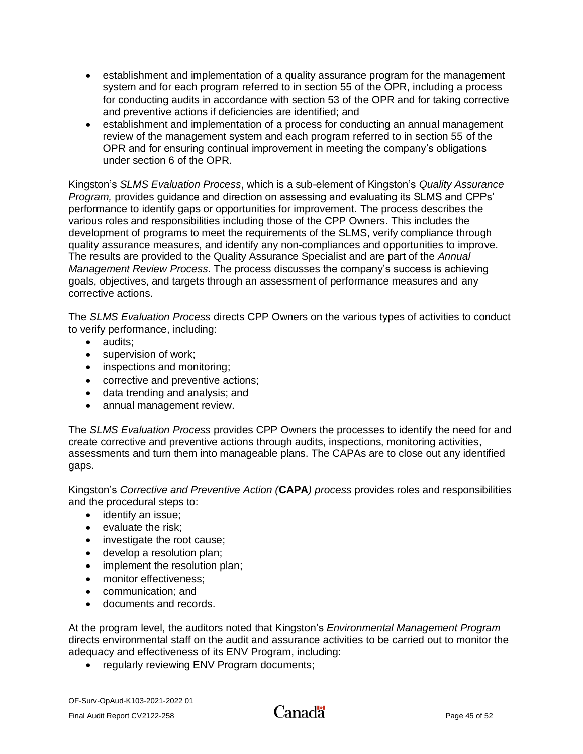- establishment and implementation of a quality assurance program for the management system and for each program referred to in section 55 of the OPR, including a process for conducting audits in accordance with section 53 of the OPR and for taking corrective and preventive actions if deficiencies are identified; and
- establishment and implementation of a process for conducting an annual management review of the management system and each program referred to in section 55 of the OPR and for ensuring continual improvement in meeting the company's obligations under section 6 of the OPR.

Kingston's *SLMS Evaluation Process*, which is a sub-element of Kingston's *Quality Assurance Program,* provides guidance and direction on assessing and evaluating its SLMS and CPPs' performance to identify gaps or opportunities for improvement. The process describes the various roles and responsibilities including those of the CPP Owners. This includes the development of programs to meet the requirements of the SLMS, verify compliance through quality assurance measures, and identify any non-compliances and opportunities to improve. The results are provided to the Quality Assurance Specialist and are part of the *Annual Management Review Process*. The process discusses the company's success is achieving goals, objectives, and targets through an assessment of performance measures and any corrective actions.

The *SLMS Evaluation Process* directs CPP Owners on the various types of activities to conduct to verify performance, including:

- audits:
- supervision of work;
- inspections and monitoring;
- corrective and preventive actions;
- data trending and analysis; and
- annual management review.

The *SLMS Evaluation Process* provides CPP Owners the processes to identify the need for and create corrective and preventive actions through audits, inspections, monitoring activities, assessments and turn them into manageable plans. The CAPAs are to close out any identified gaps.

Kingston's *Corrective and Preventive Action (***CAPA***) process* provides roles and responsibilities and the procedural steps to:

- identify an issue;
- evaluate the risk;
- investigate the root cause;
- develop a resolution plan;
- implement the resolution plan;
- monitor effectiveness:
- communication; and
- documents and records.

At the program level, the auditors noted that Kingston's *Environmental Management Program* directs environmental staff on the audit and assurance activities to be carried out to monitor the adequacy and effectiveness of its ENV Program, including:

• regularly reviewing ENV Program documents;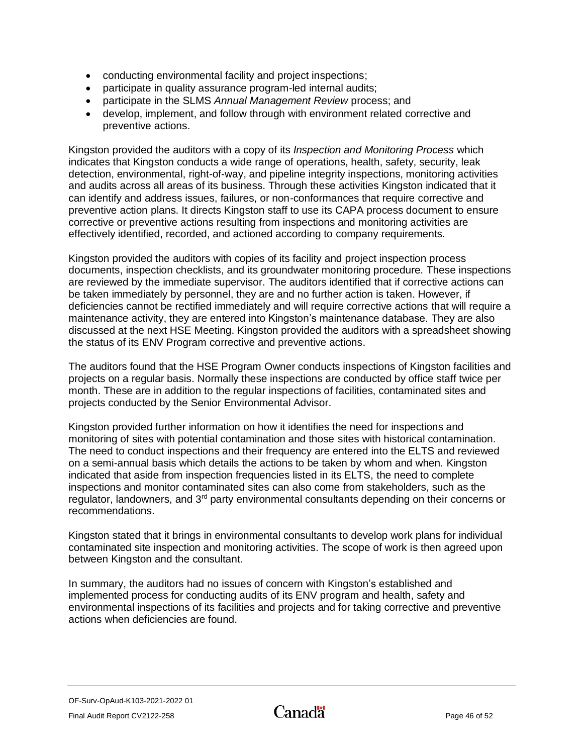- conducting environmental facility and project inspections;
- participate in quality assurance program-led internal audits;
- participate in the SLMS *Annual Management Review* process; and
- develop, implement, and follow through with environment related corrective and preventive actions.

Kingston provided the auditors with a copy of its *Inspection and Monitoring Process* which indicates that Kingston conducts a wide range of operations, health, safety, security, leak detection, environmental, right-of-way, and pipeline integrity inspections, monitoring activities and audits across all areas of its business. Through these activities Kingston indicated that it can identify and address issues, failures, or non-conformances that require corrective and preventive action plans. It directs Kingston staff to use its CAPA process document to ensure corrective or preventive actions resulting from inspections and monitoring activities are effectively identified, recorded, and actioned according to company requirements.

Kingston provided the auditors with copies of its facility and project inspection process documents, inspection checklists, and its groundwater monitoring procedure. These inspections are reviewed by the immediate supervisor. The auditors identified that if corrective actions can be taken immediately by personnel, they are and no further action is taken. However, if deficiencies cannot be rectified immediately and will require corrective actions that will require a maintenance activity, they are entered into Kingston's maintenance database. They are also discussed at the next HSE Meeting. Kingston provided the auditors with a spreadsheet showing the status of its ENV Program corrective and preventive actions.

The auditors found that the HSE Program Owner conducts inspections of Kingston facilities and projects on a regular basis. Normally these inspections are conducted by office staff twice per month. These are in addition to the regular inspections of facilities, contaminated sites and projects conducted by the Senior Environmental Advisor.

Kingston provided further information on how it identifies the need for inspections and monitoring of sites with potential contamination and those sites with historical contamination. The need to conduct inspections and their frequency are entered into the ELTS and reviewed on a semi-annual basis which details the actions to be taken by whom and when. Kingston indicated that aside from inspection frequencies listed in its ELTS, the need to complete inspections and monitor contaminated sites can also come from stakeholders, such as the regulator, landowners, and 3<sup>rd</sup> party environmental consultants depending on their concerns or recommendations.

Kingston stated that it brings in environmental consultants to develop work plans for individual contaminated site inspection and monitoring activities. The scope of work is then agreed upon between Kingston and the consultant.

In summary, the auditors had no issues of concern with Kingston's established and implemented process for conducting audits of its ENV program and health, safety and environmental inspections of its facilities and projects and for taking corrective and preventive actions when deficiencies are found.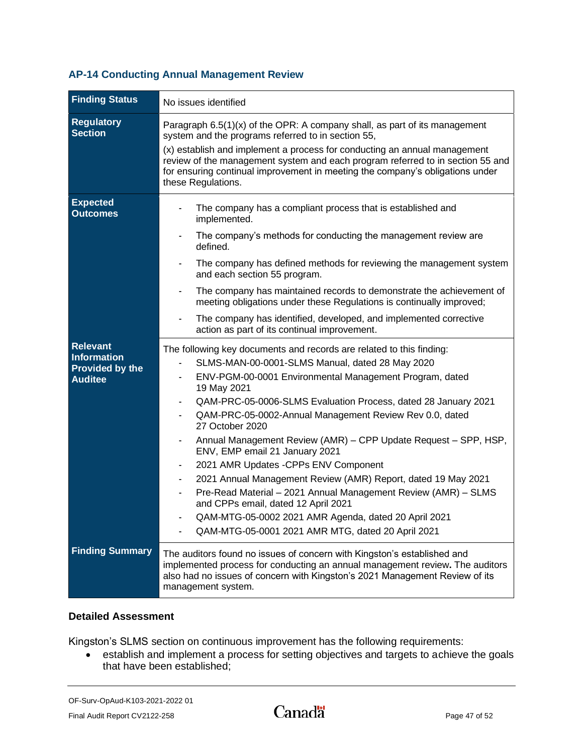## <span id="page-48-0"></span>**AP-14 Conducting Annual Management Review**

| <b>Finding Status</b>                                                             | No issues identified                                                                                                                                                                                                                                                                                                                                                                                                                                                                                                                                                                                                                                                                                                                                                                                                                 |
|-----------------------------------------------------------------------------------|--------------------------------------------------------------------------------------------------------------------------------------------------------------------------------------------------------------------------------------------------------------------------------------------------------------------------------------------------------------------------------------------------------------------------------------------------------------------------------------------------------------------------------------------------------------------------------------------------------------------------------------------------------------------------------------------------------------------------------------------------------------------------------------------------------------------------------------|
| <b>Regulatory</b><br><b>Section</b>                                               | Paragraph $6.5(1)(x)$ of the OPR: A company shall, as part of its management<br>system and the programs referred to in section 55,<br>(x) establish and implement a process for conducting an annual management<br>review of the management system and each program referred to in section 55 and<br>for ensuring continual improvement in meeting the company's obligations under<br>these Regulations.                                                                                                                                                                                                                                                                                                                                                                                                                             |
| <b>Expected</b><br><b>Outcomes</b>                                                | The company has a compliant process that is established and<br>implemented.<br>The company's methods for conducting the management review are<br>defined.<br>The company has defined methods for reviewing the management system<br>and each section 55 program.<br>The company has maintained records to demonstrate the achievement of<br>meeting obligations under these Regulations is continually improved;<br>The company has identified, developed, and implemented corrective<br>action as part of its continual improvement.                                                                                                                                                                                                                                                                                                |
| <b>Relevant</b><br><b>Information</b><br><b>Provided by the</b><br><b>Auditee</b> | The following key documents and records are related to this finding:<br>SLMS-MAN-00-0001-SLMS Manual, dated 28 May 2020<br>ENV-PGM-00-0001 Environmental Management Program, dated<br>19 May 2021<br>QAM-PRC-05-0006-SLMS Evaluation Process, dated 28 January 2021<br>$\blacksquare$<br>QAM-PRC-05-0002-Annual Management Review Rev 0.0, dated<br>27 October 2020<br>Annual Management Review (AMR) - CPP Update Request - SPP, HSP,<br>ENV, EMP email 21 January 2021<br>2021 AMR Updates - CPPs ENV Component<br>2021 Annual Management Review (AMR) Report, dated 19 May 2021<br>$\overline{\phantom{a}}$<br>Pre-Read Material - 2021 Annual Management Review (AMR) - SLMS<br>and CPPs email, dated 12 April 2021<br>QAM-MTG-05-0002 2021 AMR Agenda, dated 20 April 2021<br>QAM-MTG-05-0001 2021 AMR MTG, dated 20 April 2021 |
| <b>Finding Summary</b>                                                            | The auditors found no issues of concern with Kingston's established and<br>implemented process for conducting an annual management review. The auditors<br>also had no issues of concern with Kingston's 2021 Management Review of its<br>management system.                                                                                                                                                                                                                                                                                                                                                                                                                                                                                                                                                                         |

### **Detailed Assessment**

Kingston's SLMS section on continuous improvement has the following requirements:

• establish and implement a process for setting objectives and targets to achieve the goals that have been established;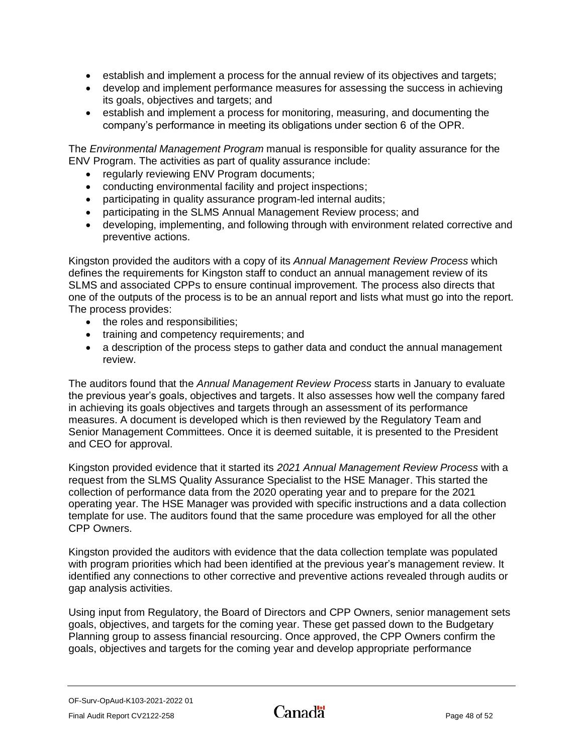- establish and implement a process for the annual review of its objectives and targets;
- develop and implement performance measures for assessing the success in achieving its goals, objectives and targets; and
- establish and implement a process for monitoring, measuring, and documenting the company's performance in meeting its obligations under section 6 of the OPR.

The *Environmental Management Program* manual is responsible for quality assurance for the ENV Program. The activities as part of quality assurance include:

- regularly reviewing ENV Program documents;
- conducting environmental facility and project inspections;
- participating in quality assurance program-led internal audits;
- participating in the SLMS Annual Management Review process; and
- developing, implementing, and following through with environment related corrective and preventive actions.

Kingston provided the auditors with a copy of its *Annual Management Review Process* which defines the requirements for Kingston staff to conduct an annual management review of its SLMS and associated CPPs to ensure continual improvement. The process also directs that one of the outputs of the process is to be an annual report and lists what must go into the report. The process provides:

- the roles and responsibilities;
- training and competency requirements; and
- a description of the process steps to gather data and conduct the annual management review.

The auditors found that the *Annual Management Review Process* starts in January to evaluate the previous year's goals, objectives and targets. It also assesses how well the company fared in achieving its goals objectives and targets through an assessment of its performance measures. A document is developed which is then reviewed by the Regulatory Team and Senior Management Committees. Once it is deemed suitable, it is presented to the President and CEO for approval.

Kingston provided evidence that it started its *2021 Annual Management Review Process* with a request from the SLMS Quality Assurance Specialist to the HSE Manager. This started the collection of performance data from the 2020 operating year and to prepare for the 2021 operating year. The HSE Manager was provided with specific instructions and a data collection template for use. The auditors found that the same procedure was employed for all the other CPP Owners.

Kingston provided the auditors with evidence that the data collection template was populated with program priorities which had been identified at the previous year's management review. It identified any connections to other corrective and preventive actions revealed through audits or gap analysis activities.

Using input from Regulatory, the Board of Directors and CPP Owners, senior management sets goals, objectives, and targets for the coming year. These get passed down to the Budgetary Planning group to assess financial resourcing. Once approved, the CPP Owners confirm the goals, objectives and targets for the coming year and develop appropriate performance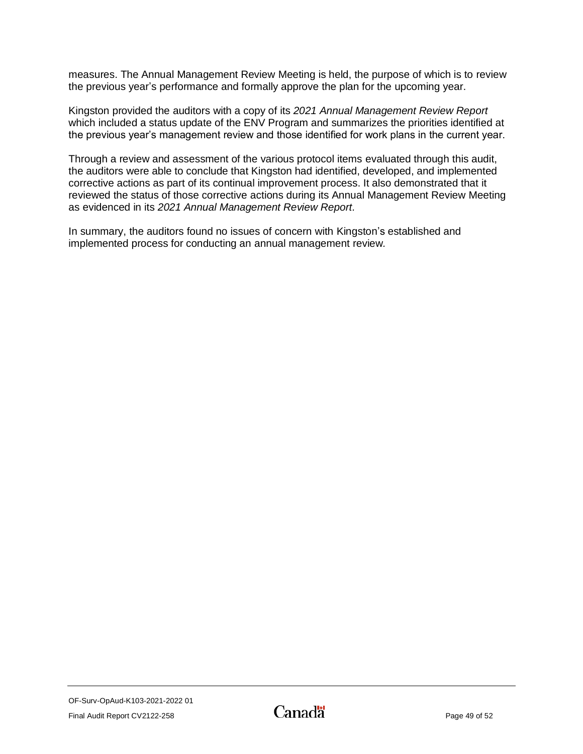measures. The Annual Management Review Meeting is held, the purpose of which is to review the previous year's performance and formally approve the plan for the upcoming year.

Kingston provided the auditors with a copy of its *2021 Annual Management Review Report* which included a status update of the ENV Program and summarizes the priorities identified at the previous year's management review and those identified for work plans in the current year.

Through a review and assessment of the various protocol items evaluated through this audit, the auditors were able to conclude that Kingston had identified, developed, and implemented corrective actions as part of its continual improvement process. It also demonstrated that it reviewed the status of those corrective actions during its Annual Management Review Meeting as evidenced in its *2021 Annual Management Review Report.*

<span id="page-50-0"></span>In summary, the auditors found no issues of concern with Kingston's established and implemented process for conducting an annual management review*.*

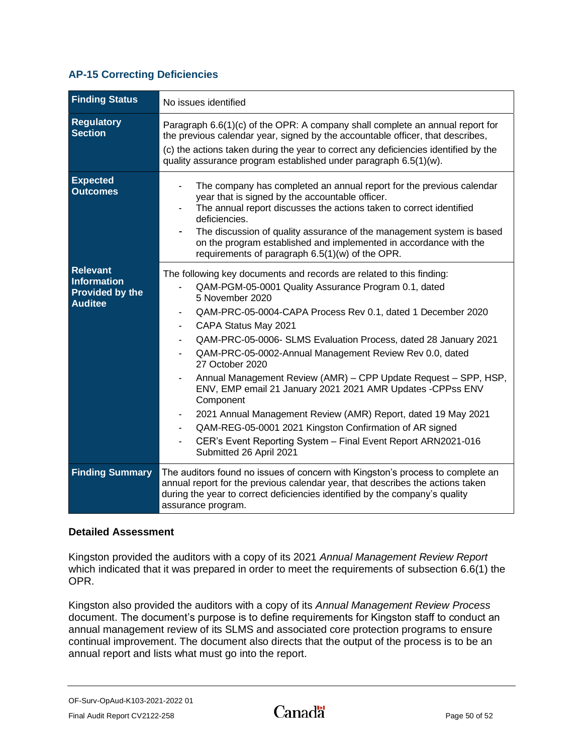### **AP-15 Correcting Deficiencies**

| <b>Finding Status</b>                                                      | No issues identified                                                                                                                                                                                                                                                                                                                                                                                                                                                                                                                                                                                                                                                                                                                                           |  |  |  |
|----------------------------------------------------------------------------|----------------------------------------------------------------------------------------------------------------------------------------------------------------------------------------------------------------------------------------------------------------------------------------------------------------------------------------------------------------------------------------------------------------------------------------------------------------------------------------------------------------------------------------------------------------------------------------------------------------------------------------------------------------------------------------------------------------------------------------------------------------|--|--|--|
| <b>Regulatory</b><br><b>Section</b>                                        | Paragraph $6.6(1)(c)$ of the OPR: A company shall complete an annual report for<br>the previous calendar year, signed by the accountable officer, that describes,<br>(c) the actions taken during the year to correct any deficiencies identified by the<br>quality assurance program established under paragraph 6.5(1)(w).                                                                                                                                                                                                                                                                                                                                                                                                                                   |  |  |  |
| <b>Expected</b><br><b>Outcomes</b>                                         | The company has completed an annual report for the previous calendar<br>year that is signed by the accountable officer.<br>The annual report discusses the actions taken to correct identified<br>deficiencies.<br>The discussion of quality assurance of the management system is based<br>on the program established and implemented in accordance with the<br>requirements of paragraph 6.5(1)(w) of the OPR.                                                                                                                                                                                                                                                                                                                                               |  |  |  |
| <b>Relevant</b><br>Information<br><b>Provided by the</b><br><b>Auditee</b> | The following key documents and records are related to this finding:<br>QAM-PGM-05-0001 Quality Assurance Program 0.1, dated<br>5 November 2020<br>QAM-PRC-05-0004-CAPA Process Rev 0.1, dated 1 December 2020<br>CAPA Status May 2021<br>QAM-PRC-05-0006- SLMS Evaluation Process, dated 28 January 2021<br>QAM-PRC-05-0002-Annual Management Review Rev 0.0, dated<br>27 October 2020<br>Annual Management Review (AMR) - CPP Update Request - SPP, HSP,<br>ENV, EMP email 21 January 2021 2021 AMR Updates - CPPss ENV<br>Component<br>2021 Annual Management Review (AMR) Report, dated 19 May 2021<br>QAM-REG-05-0001 2021 Kingston Confirmation of AR signed<br>CER's Event Reporting System - Final Event Report ARN2021-016<br>Submitted 26 April 2021 |  |  |  |
| <b>Finding Summary</b>                                                     | The auditors found no issues of concern with Kingston's process to complete an<br>annual report for the previous calendar year, that describes the actions taken<br>during the year to correct deficiencies identified by the company's quality<br>assurance program.                                                                                                                                                                                                                                                                                                                                                                                                                                                                                          |  |  |  |

#### **Detailed Assessment**

Kingston provided the auditors with a copy of its 2021 *Annual Management Review Report* which indicated that it was prepared in order to meet the requirements of subsection 6.6(1) the OPR.

Kingston also provided the auditors with a copy of its *Annual Management Review Process* document. The document's purpose is to define requirements for Kingston staff to conduct an annual management review of its SLMS and associated core protection programs to ensure continual improvement. The document also directs that the output of the process is to be an annual report and lists what must go into the report.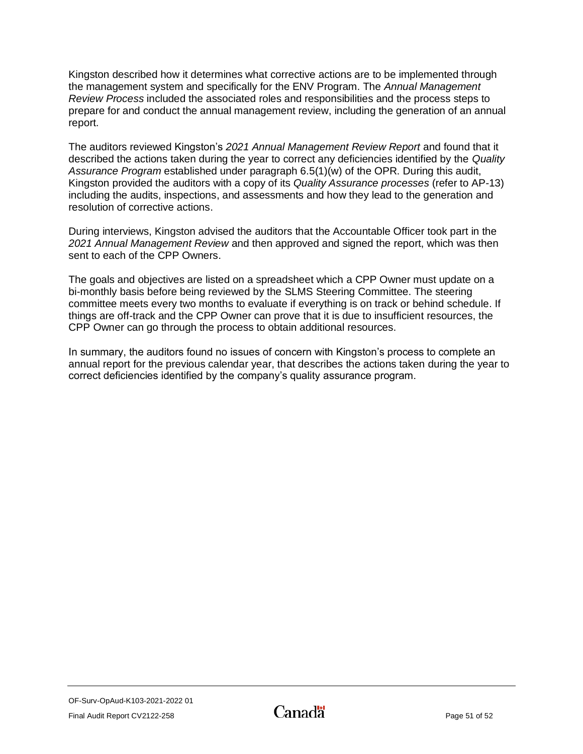Kingston described how it determines what corrective actions are to be implemented through the management system and specifically for the ENV Program. The *Annual Management Review Process* included the associated roles and responsibilities and the process steps to prepare for and conduct the annual management review, including the generation of an annual report.

The auditors reviewed Kingston's *2021 Annual Management Review Report* and found that it described the actions taken during the year to correct any deficiencies identified by the *Quality Assurance Program* established under paragraph 6.5(1)(w) of the OPR. During this audit, Kingston provided the auditors with a copy of its *Quality Assurance processes* (refer to AP-13) including the audits, inspections, and assessments and how they lead to the generation and resolution of corrective actions.

During interviews, Kingston advised the auditors that the Accountable Officer took part in the *2021 Annual Management Review* and then approved and signed the report, which was then sent to each of the CPP Owners.

The goals and objectives are listed on a spreadsheet which a CPP Owner must update on a bi-monthly basis before being reviewed by the SLMS Steering Committee. The steering committee meets every two months to evaluate if everything is on track or behind schedule. If things are off-track and the CPP Owner can prove that it is due to insufficient resources, the CPP Owner can go through the process to obtain additional resources.

<span id="page-52-0"></span>In summary, the auditors found no issues of concern with Kingston's process to complete an annual report for the previous calendar year, that describes the actions taken during the year to correct deficiencies identified by the company's quality assurance program.